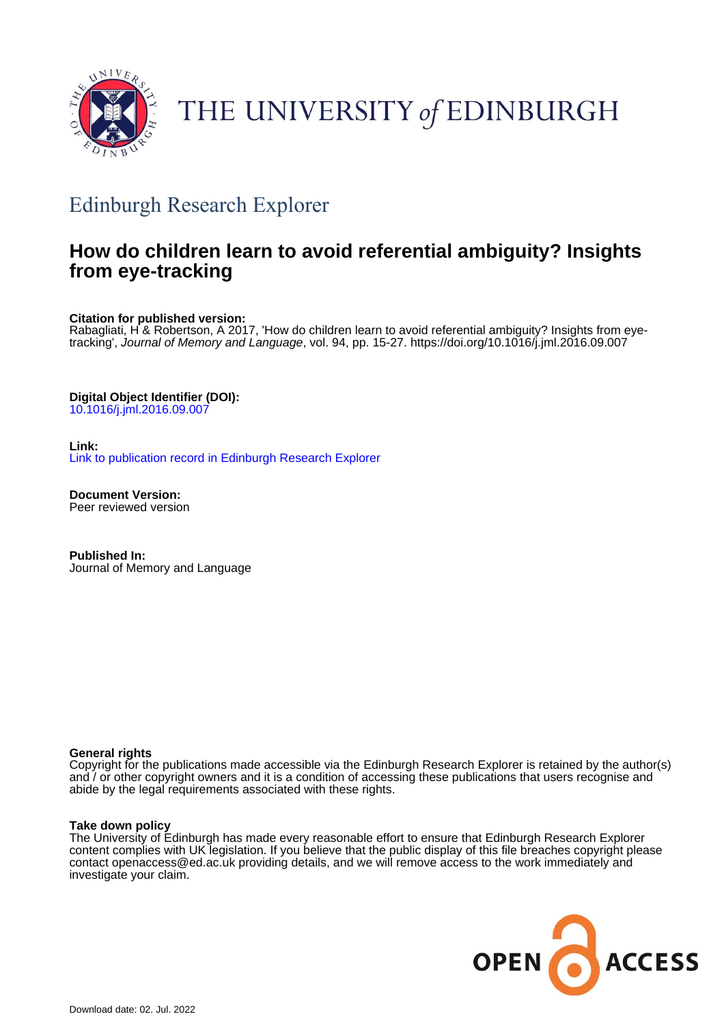

# THE UNIVERSITY of EDINBURGH

## Edinburgh Research Explorer

## **How do children learn to avoid referential ambiguity? Insights from eye-tracking**

**Citation for published version:**

Rabagliati, H & Robertson, A 2017, 'How do children learn to avoid referential ambiguity? Insights from eyetracking', Journal of Memory and Language, vol. 94, pp. 15-27.<https://doi.org/10.1016/j.jml.2016.09.007>

**Digital Object Identifier (DOI):**

[10.1016/j.jml.2016.09.007](https://doi.org/10.1016/j.jml.2016.09.007)

**Link:** [Link to publication record in Edinburgh Research Explorer](https://www.research.ed.ac.uk/en/publications/9c1e81fe-8bdc-4cdf-aff0-7ba53121f35e)

**Document Version:** Peer reviewed version

**Published In:** Journal of Memory and Language

#### **General rights**

Copyright for the publications made accessible via the Edinburgh Research Explorer is retained by the author(s) and / or other copyright owners and it is a condition of accessing these publications that users recognise and abide by the legal requirements associated with these rights.

#### **Take down policy**

The University of Edinburgh has made every reasonable effort to ensure that Edinburgh Research Explorer content complies with UK legislation. If you believe that the public display of this file breaches copyright please contact openaccess@ed.ac.uk providing details, and we will remove access to the work immediately and investigate your claim.

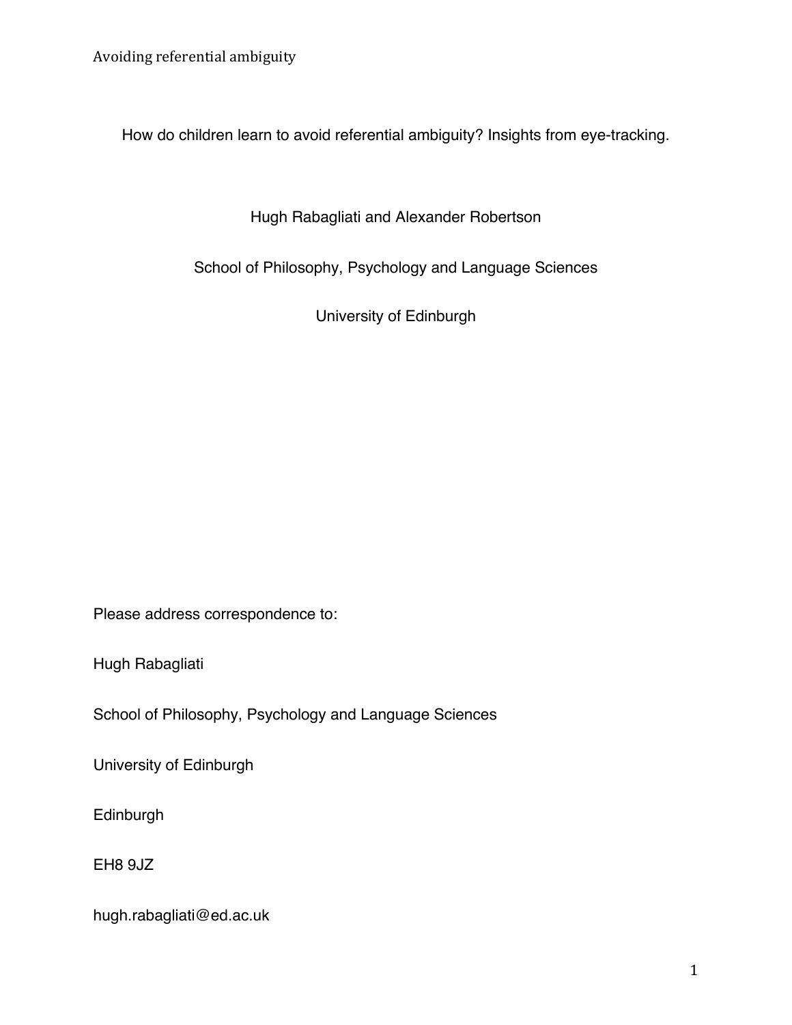How do children learn to avoid referential ambiguity? Insights from eye-tracking.

Hugh Rabagliati and Alexander Robertson

School of Philosophy, Psychology and Language Sciences

University of Edinburgh

Please address correspondence to:

Hugh Rabagliati

School of Philosophy, Psychology and Language Sciences

University of Edinburgh

Edinburgh

EH8 9JZ

hugh.rabagliati@ed.ac.uk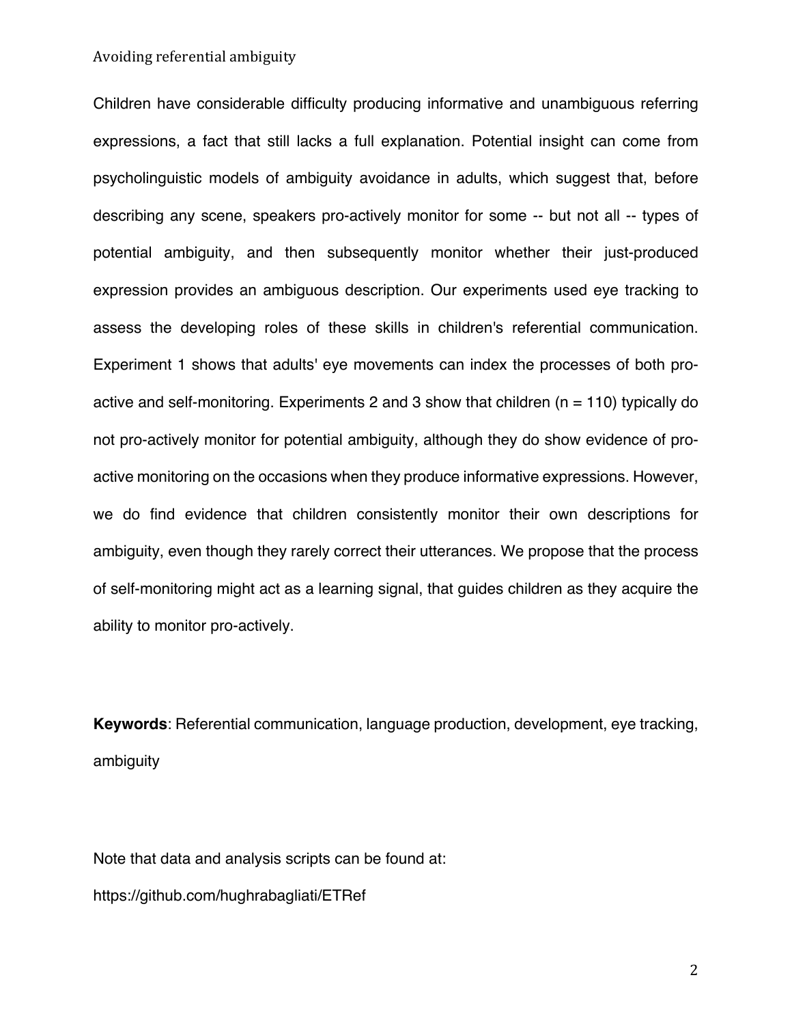Children have considerable difficulty producing informative and unambiguous referring expressions, a fact that still lacks a full explanation. Potential insight can come from psycholinguistic models of ambiguity avoidance in adults, which suggest that, before describing any scene, speakers pro-actively monitor for some -- but not all -- types of potential ambiguity, and then subsequently monitor whether their just-produced expression provides an ambiguous description. Our experiments used eye tracking to assess the developing roles of these skills in children's referential communication. Experiment 1 shows that adults' eye movements can index the processes of both proactive and self-monitoring. Experiments 2 and 3 show that children ( $n = 110$ ) typically do not pro-actively monitor for potential ambiguity, although they do show evidence of proactive monitoring on the occasions when they produce informative expressions. However, we do find evidence that children consistently monitor their own descriptions for ambiguity, even though they rarely correct their utterances. We propose that the process of self-monitoring might act as a learning signal, that guides children as they acquire the ability to monitor pro-actively.

**Keywords**: Referential communication, language production, development, eye tracking, ambiguity

Note that data and analysis scripts can be found at: https://github.com/hughrabagliati/ETRef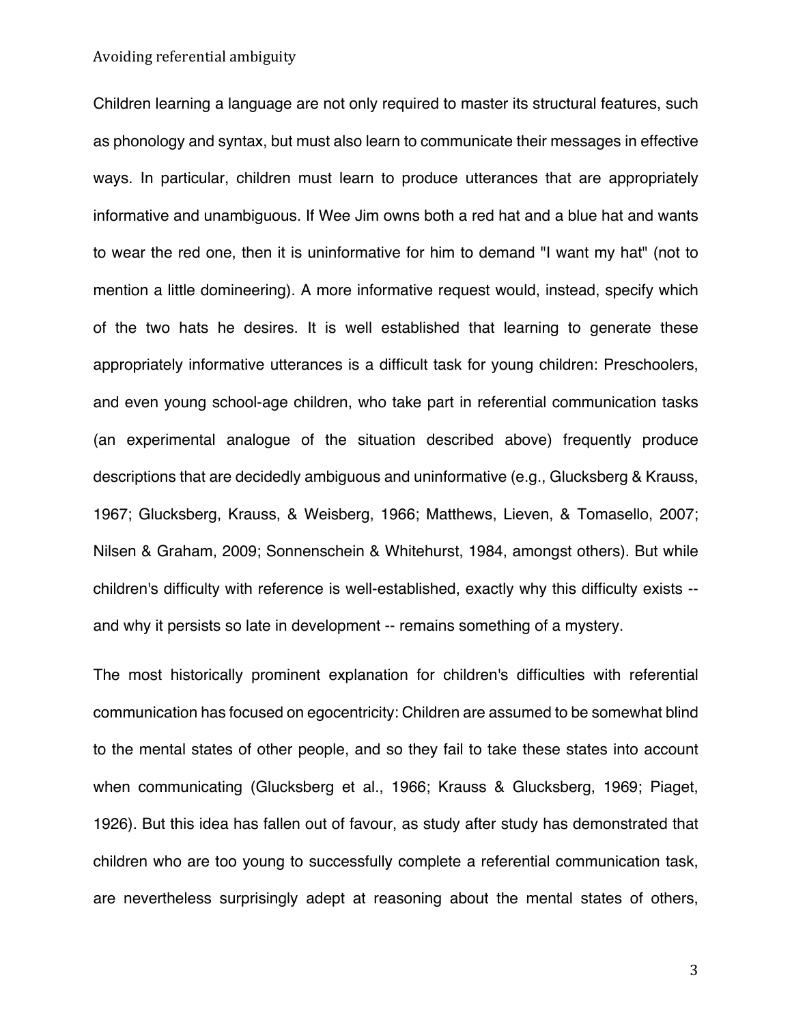Children learning a language are not only required to master its structural features, such as phonology and syntax, but must also learn to communicate their messages in effective ways. In particular, children must learn to produce utterances that are appropriately informative and unambiguous. If Wee Jim owns both a red hat and a blue hat and wants to wear the red one, then it is uninformative for him to demand "I want my hat" (not to mention a little domineering). A more informative request would, instead, specify which of the two hats he desires. It is well established that learning to generate these appropriately informative utterances is a difficult task for young children: Preschoolers, and even young school-age children, who take part in referential communication tasks (an experimental analogue of the situation described above) frequently produce descriptions that are decidedly ambiguous and uninformative (e.g., Glucksberg & Krauss, 1967; Glucksberg, Krauss, & Weisberg, 1966; Matthews, Lieven, & Tomasello, 2007; Nilsen & Graham, 2009; Sonnenschein & Whitehurst, 1984, amongst others). But while children's difficulty with reference is well-established, exactly why this difficulty exists - and why it persists so late in development -- remains something of a mystery.

The most historically prominent explanation for children's difficulties with referential communication has focused on egocentricity: Children are assumed to be somewhat blind to the mental states of other people, and so they fail to take these states into account when communicating (Glucksberg et al., 1966; Krauss & Glucksberg, 1969; Piaget, 1926). But this idea has fallen out of favour, as study after study has demonstrated that children who are too young to successfully complete a referential communication task, are nevertheless surprisingly adept at reasoning about the mental states of others,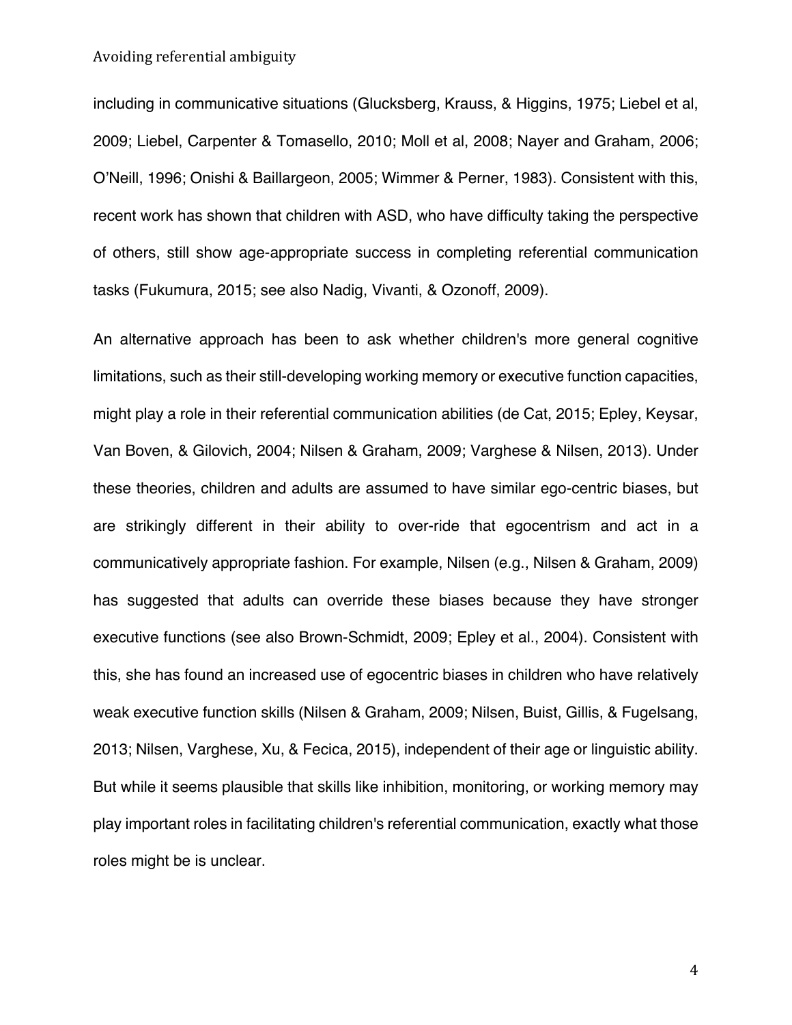including in communicative situations (Glucksberg, Krauss, & Higgins, 1975; Liebel et al, 2009; Liebel, Carpenter & Tomasello, 2010; Moll et al, 2008; Nayer and Graham, 2006; O'Neill, 1996; Onishi & Baillargeon, 2005; Wimmer & Perner, 1983). Consistent with this, recent work has shown that children with ASD, who have difficulty taking the perspective of others, still show age-appropriate success in completing referential communication tasks (Fukumura, 2015; see also Nadig, Vivanti, & Ozonoff, 2009).

An alternative approach has been to ask whether children's more general cognitive limitations, such as their still-developing working memory or executive function capacities, might play a role in their referential communication abilities (de Cat, 2015; Epley, Keysar, Van Boven, & Gilovich, 2004; Nilsen & Graham, 2009; Varghese & Nilsen, 2013). Under these theories, children and adults are assumed to have similar ego-centric biases, but are strikingly different in their ability to over-ride that egocentrism and act in a communicatively appropriate fashion. For example, Nilsen (e.g., Nilsen & Graham, 2009) has suggested that adults can override these biases because they have stronger executive functions (see also Brown-Schmidt, 2009; Epley et al., 2004). Consistent with this, she has found an increased use of egocentric biases in children who have relatively weak executive function skills (Nilsen & Graham, 2009; Nilsen, Buist, Gillis, & Fugelsang, 2013; Nilsen, Varghese, Xu, & Fecica, 2015), independent of their age or linguistic ability. But while it seems plausible that skills like inhibition, monitoring, or working memory may play important roles in facilitating children's referential communication, exactly what those roles might be is unclear.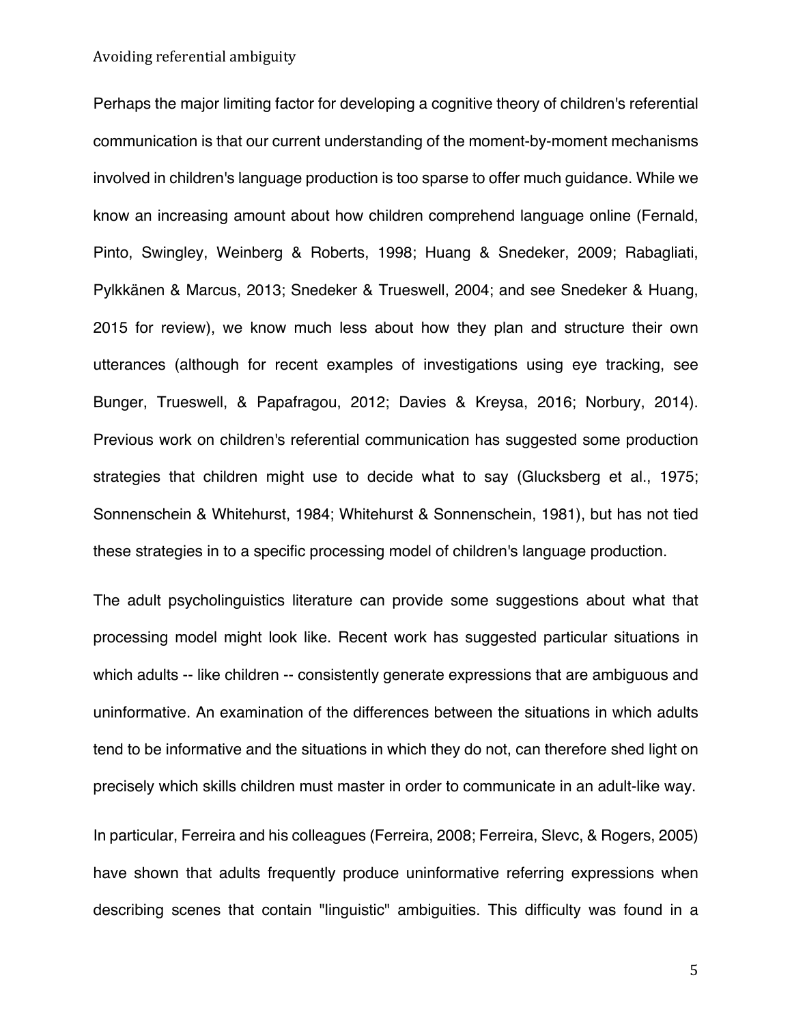Perhaps the major limiting factor for developing a cognitive theory of children's referential communication is that our current understanding of the moment-by-moment mechanisms involved in children's language production is too sparse to offer much guidance. While we know an increasing amount about how children comprehend language online (Fernald, Pinto, Swingley, Weinberg & Roberts, 1998; Huang & Snedeker, 2009; Rabagliati, Pylkkänen & Marcus, 2013; Snedeker & Trueswell, 2004; and see Snedeker & Huang, 2015 for review), we know much less about how they plan and structure their own utterances (although for recent examples of investigations using eye tracking, see Bunger, Trueswell, & Papafragou, 2012; Davies & Kreysa, 2016; Norbury, 2014). Previous work on children's referential communication has suggested some production strategies that children might use to decide what to say (Glucksberg et al., 1975; Sonnenschein & Whitehurst, 1984; Whitehurst & Sonnenschein, 1981), but has not tied these strategies in to a specific processing model of children's language production.

The adult psycholinguistics literature can provide some suggestions about what that processing model might look like. Recent work has suggested particular situations in which adults -- like children -- consistently generate expressions that are ambiguous and uninformative. An examination of the differences between the situations in which adults tend to be informative and the situations in which they do not, can therefore shed light on precisely which skills children must master in order to communicate in an adult-like way.

In particular, Ferreira and his colleagues (Ferreira, 2008; Ferreira, Slevc, & Rogers, 2005) have shown that adults frequently produce uninformative referring expressions when describing scenes that contain "linguistic" ambiguities. This difficulty was found in a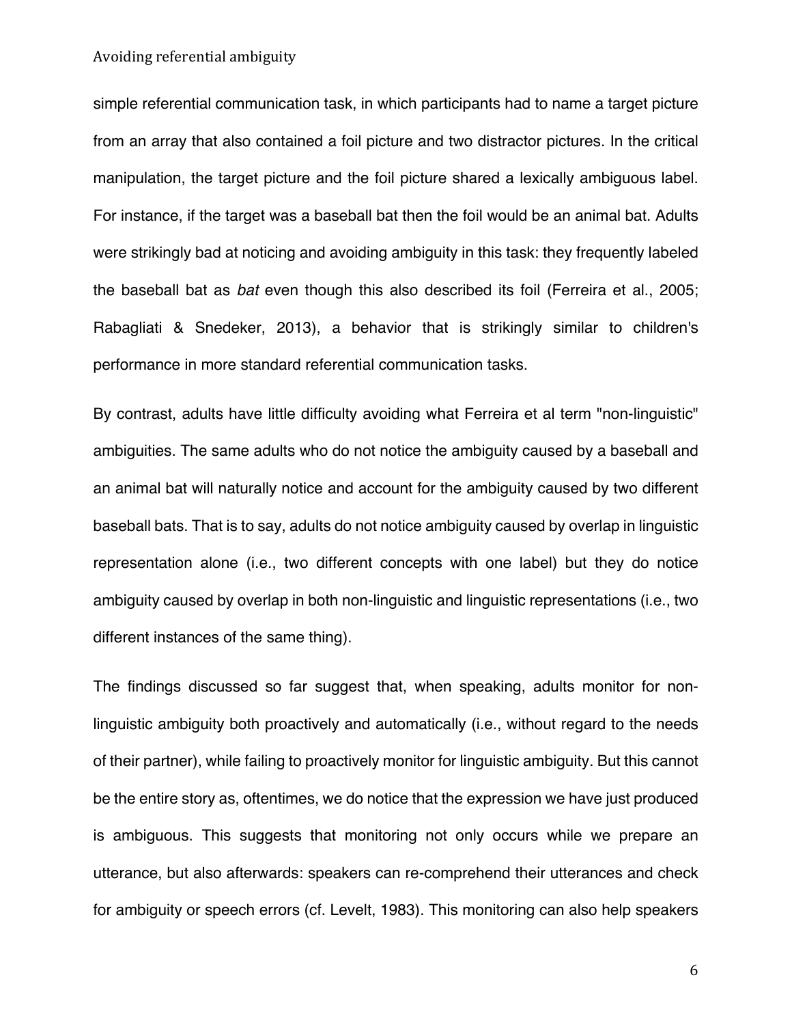simple referential communication task, in which participants had to name a target picture from an array that also contained a foil picture and two distractor pictures. In the critical manipulation, the target picture and the foil picture shared a lexically ambiguous label. For instance, if the target was a baseball bat then the foil would be an animal bat. Adults were strikingly bad at noticing and avoiding ambiguity in this task: they frequently labeled the baseball bat as *bat* even though this also described its foil (Ferreira et al., 2005; Rabagliati & Snedeker, 2013), a behavior that is strikingly similar to children's performance in more standard referential communication tasks.

By contrast, adults have little difficulty avoiding what Ferreira et al term "non-linguistic" ambiguities. The same adults who do not notice the ambiguity caused by a baseball and an animal bat will naturally notice and account for the ambiguity caused by two different baseball bats. That is to say, adults do not notice ambiguity caused by overlap in linguistic representation alone (i.e., two different concepts with one label) but they do notice ambiguity caused by overlap in both non-linguistic and linguistic representations (i.e., two different instances of the same thing).

The findings discussed so far suggest that, when speaking, adults monitor for nonlinguistic ambiguity both proactively and automatically (i.e., without regard to the needs of their partner), while failing to proactively monitor for linguistic ambiguity. But this cannot be the entire story as, oftentimes, we do notice that the expression we have just produced is ambiguous. This suggests that monitoring not only occurs while we prepare an utterance, but also afterwards: speakers can re-comprehend their utterances and check for ambiguity or speech errors (cf. Levelt, 1983). This monitoring can also help speakers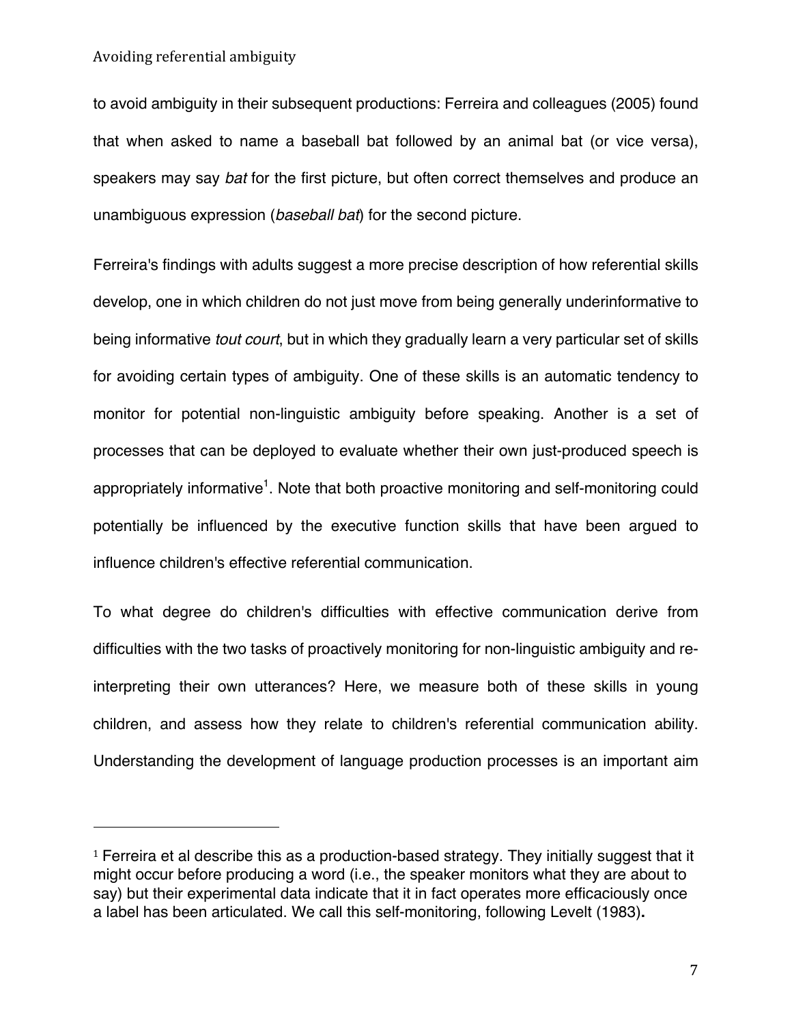to avoid ambiguity in their subsequent productions: Ferreira and colleagues (2005) found that when asked to name a baseball bat followed by an animal bat (or vice versa), speakers may say *bat* for the first picture, but often correct themselves and produce an unambiguous expression (*baseball bat*) for the second picture.

Ferreira's findings with adults suggest a more precise description of how referential skills develop, one in which children do not just move from being generally underinformative to being informative *tout court*, but in which they gradually learn a very particular set of skills for avoiding certain types of ambiguity. One of these skills is an automatic tendency to monitor for potential non-linguistic ambiguity before speaking. Another is a set of processes that can be deployed to evaluate whether their own just-produced speech is appropriately informative<sup>1</sup>. Note that both proactive monitoring and self-monitoring could potentially be influenced by the executive function skills that have been argued to influence children's effective referential communication.

To what degree do children's difficulties with effective communication derive from difficulties with the two tasks of proactively monitoring for non-linguistic ambiguity and reinterpreting their own utterances? Here, we measure both of these skills in young children, and assess how they relate to children's referential communication ability. Understanding the development of language production processes is an important aim

<sup>&</sup>lt;sup>1</sup> Ferreira et al describe this as a production-based strategy. They initially suggest that it might occur before producing a word (i.e., the speaker monitors what they are about to say) but their experimental data indicate that it in fact operates more efficaciously once a label has been articulated. We call this self-monitoring, following Levelt (1983)**.**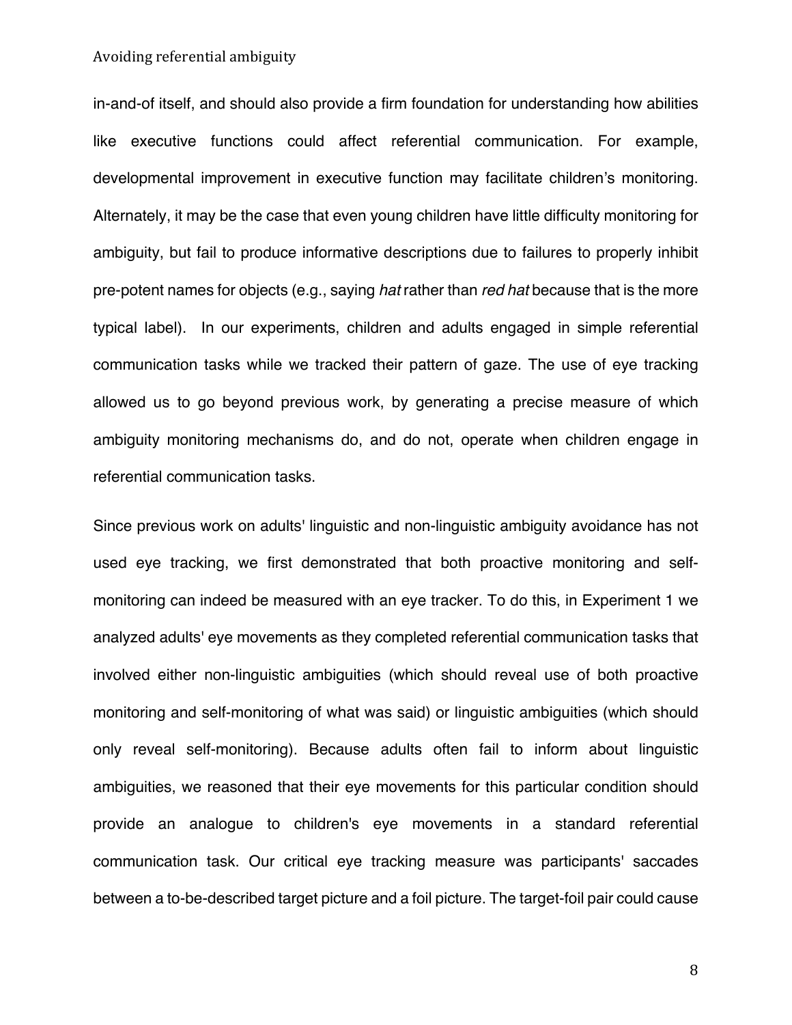in-and-of itself, and should also provide a firm foundation for understanding how abilities like executive functions could affect referential communication. For example, developmental improvement in executive function may facilitate children's monitoring. Alternately, it may be the case that even young children have little difficulty monitoring for ambiguity, but fail to produce informative descriptions due to failures to properly inhibit pre-potent names for objects (e.g., saying *hat* rather than *red hat* because that is the more typical label). In our experiments, children and adults engaged in simple referential communication tasks while we tracked their pattern of gaze. The use of eye tracking allowed us to go beyond previous work, by generating a precise measure of which ambiguity monitoring mechanisms do, and do not, operate when children engage in referential communication tasks.

Since previous work on adults' linguistic and non-linguistic ambiguity avoidance has not used eye tracking, we first demonstrated that both proactive monitoring and selfmonitoring can indeed be measured with an eye tracker. To do this, in Experiment 1 we analyzed adults' eye movements as they completed referential communication tasks that involved either non-linguistic ambiguities (which should reveal use of both proactive monitoring and self-monitoring of what was said) or linguistic ambiguities (which should only reveal self-monitoring). Because adults often fail to inform about linguistic ambiguities, we reasoned that their eye movements for this particular condition should provide an analogue to children's eye movements in a standard referential communication task. Our critical eye tracking measure was participants' saccades between a to-be-described target picture and a foil picture. The target-foil pair could cause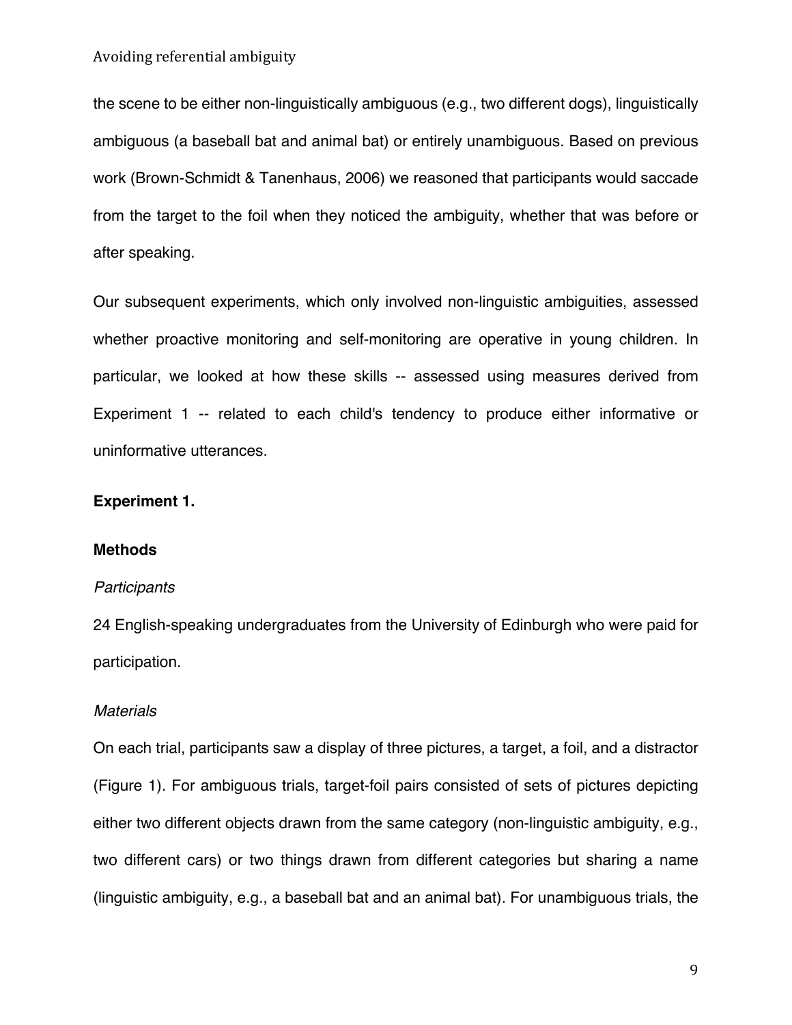the scene to be either non-linguistically ambiguous (e.g., two different dogs), linguistically ambiguous (a baseball bat and animal bat) or entirely unambiguous. Based on previous work (Brown-Schmidt & Tanenhaus, 2006) we reasoned that participants would saccade from the target to the foil when they noticed the ambiguity, whether that was before or after speaking.

Our subsequent experiments, which only involved non-linguistic ambiguities, assessed whether proactive monitoring and self-monitoring are operative in young children. In particular, we looked at how these skills -- assessed using measures derived from Experiment 1 -- related to each child's tendency to produce either informative or uninformative utterances.

## **Experiment 1.**

## **Methods**

#### *Participants*

24 English-speaking undergraduates from the University of Edinburgh who were paid for participation.

## *Materials*

On each trial, participants saw a display of three pictures, a target, a foil, and a distractor (Figure 1). For ambiguous trials, target-foil pairs consisted of sets of pictures depicting either two different objects drawn from the same category (non-linguistic ambiguity, e.g., two different cars) or two things drawn from different categories but sharing a name (linguistic ambiguity, e.g., a baseball bat and an animal bat). For unambiguous trials, the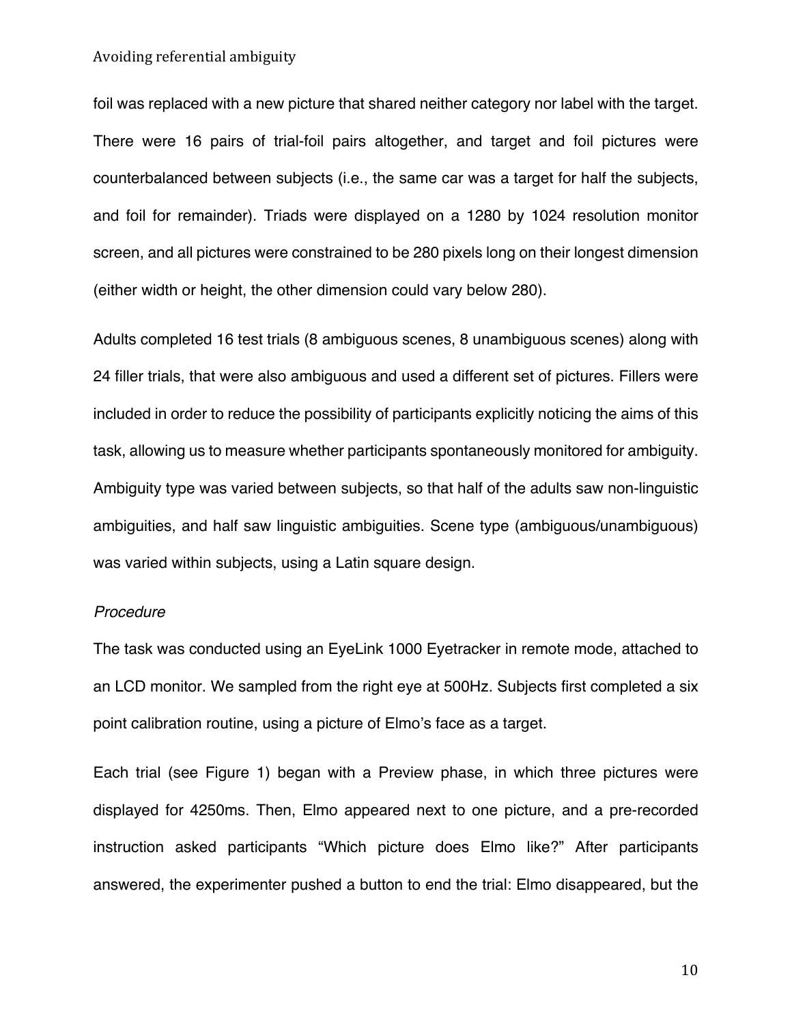foil was replaced with a new picture that shared neither category nor label with the target. There were 16 pairs of trial-foil pairs altogether, and target and foil pictures were counterbalanced between subjects (i.e., the same car was a target for half the subjects, and foil for remainder). Triads were displayed on a 1280 by 1024 resolution monitor screen, and all pictures were constrained to be 280 pixels long on their longest dimension (either width or height, the other dimension could vary below 280).

Adults completed 16 test trials (8 ambiguous scenes, 8 unambiguous scenes) along with 24 filler trials, that were also ambiguous and used a different set of pictures. Fillers were included in order to reduce the possibility of participants explicitly noticing the aims of this task, allowing us to measure whether participants spontaneously monitored for ambiguity. Ambiguity type was varied between subjects, so that half of the adults saw non-linguistic ambiguities, and half saw linguistic ambiguities. Scene type (ambiguous/unambiguous) was varied within subjects, using a Latin square design.

## *Procedure*

The task was conducted using an EyeLink 1000 Eyetracker in remote mode, attached to an LCD monitor. We sampled from the right eye at 500Hz. Subjects first completed a six point calibration routine, using a picture of Elmo's face as a target.

Each trial (see Figure 1) began with a Preview phase, in which three pictures were displayed for 4250ms. Then, Elmo appeared next to one picture, and a pre-recorded instruction asked participants "Which picture does Elmo like?" After participants answered, the experimenter pushed a button to end the trial: Elmo disappeared, but the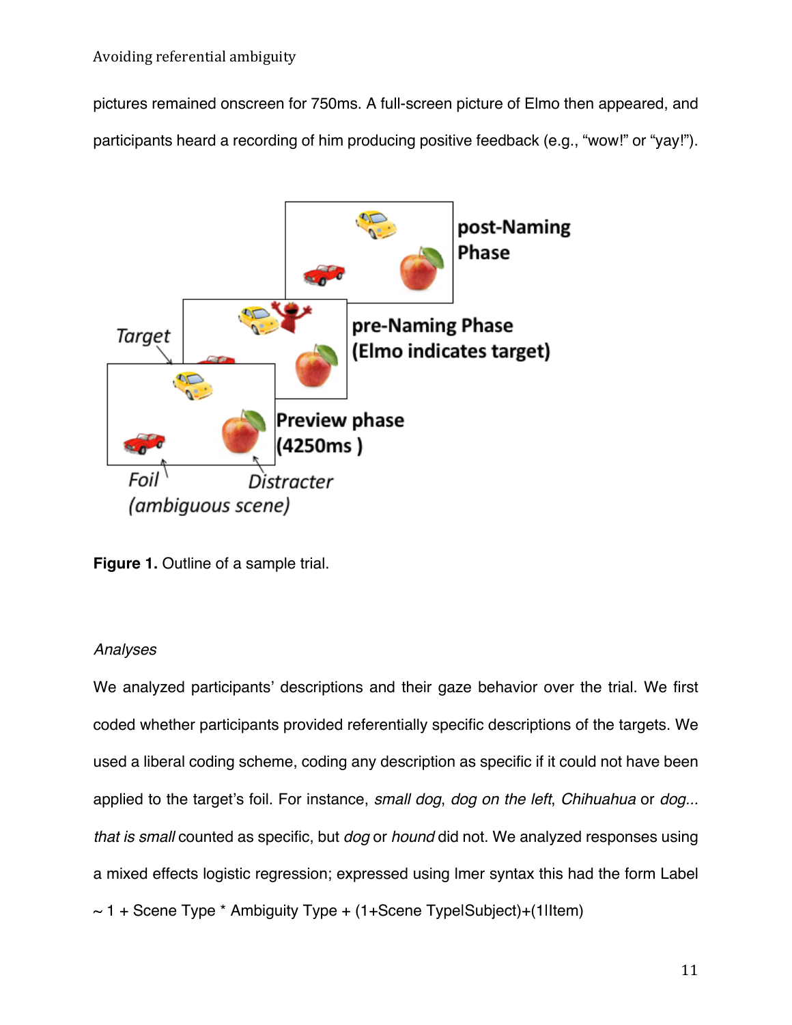pictures remained onscreen for 750ms. A full-screen picture of Elmo then appeared, and participants heard a recording of him producing positive feedback (e.g., "wow!" or "yay!").



**Figure 1.** Outline of a sample trial.

## *Analyses*

We analyzed participants' descriptions and their gaze behavior over the trial. We first coded whether participants provided referentially specific descriptions of the targets. We used a liberal coding scheme, coding any description as specific if it could not have been applied to the target's foil. For instance, *small dog*, *dog on the left*, *Chihuahua* or *dog... that is small* counted as specific, but *dog* or *hound* did not. We analyzed responses using a mixed effects logistic regression; expressed using lmer syntax this had the form Label  $\sim$  1 + Scene Type  $*$  Ambiguity Type + (1+Scene TypelSubject)+(1lltem)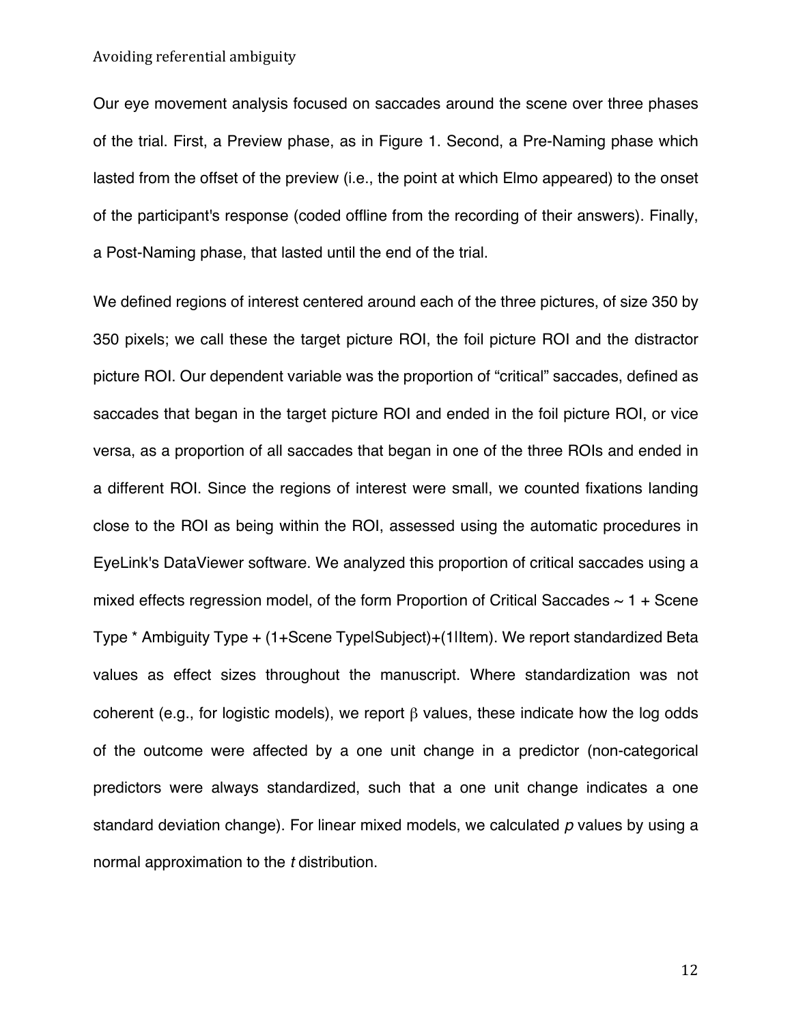Our eye movement analysis focused on saccades around the scene over three phases of the trial. First, a Preview phase, as in Figure 1. Second, a Pre-Naming phase which lasted from the offset of the preview (i.e., the point at which Elmo appeared) to the onset of the participant's response (coded offline from the recording of their answers). Finally, a Post-Naming phase, that lasted until the end of the trial.

We defined regions of interest centered around each of the three pictures, of size 350 by 350 pixels; we call these the target picture ROI, the foil picture ROI and the distractor picture ROI. Our dependent variable was the proportion of "critical" saccades, defined as saccades that began in the target picture ROI and ended in the foil picture ROI, or vice versa, as a proportion of all saccades that began in one of the three ROIs and ended in a different ROI. Since the regions of interest were small, we counted fixations landing close to the ROI as being within the ROI, assessed using the automatic procedures in EyeLink's DataViewer software. We analyzed this proportion of critical saccades using a mixed effects regression model, of the form Proportion of Critical Saccades  $\sim 1 +$  Scene Type \* Ambiguity Type + (1+Scene Type|Subject)+(1|Item). We report standardized Beta values as effect sizes throughout the manuscript. Where standardization was not coherent (e.g., for logistic models), we report β values, these indicate how the log odds of the outcome were affected by a one unit change in a predictor (non-categorical predictors were always standardized, such that a one unit change indicates a one standard deviation change). For linear mixed models, we calculated *p* values by using a normal approximation to the *t* distribution.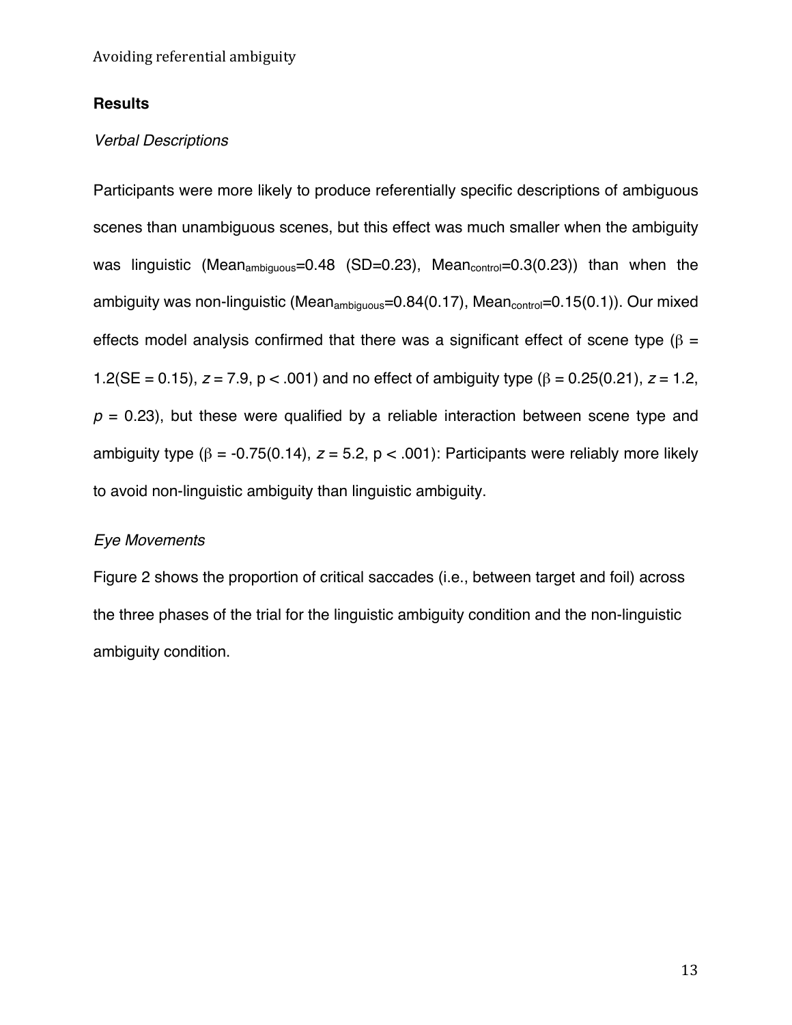## **Results**

## *Verbal Descriptions*

Participants were more likely to produce referentially specific descriptions of ambiguous scenes than unambiguous scenes, but this effect was much smaller when the ambiguity was linguistic (Mean<sub>ambiguous</sub>=0.48 (SD=0.23), Mean<sub>control</sub>=0.3(0.23)) than when the ambiguity was non-linguistic (Mean<sub>ambiquous</sub>=0.84(0.17), Mean<sub>control</sub>=0.15(0.1)). Our mixed effects model analysis confirmed that there was a significant effect of scene type ( $\beta$  = 1.2(SE = 0.15), *z* = 7.9, p < .001) and no effect of ambiguity type (β = 0.25(0.21), *z* = 1.2,  $p = 0.23$ ), but these were qualified by a reliable interaction between scene type and ambiguity type ( $\beta$  = -0.75(0.14),  $z$  = 5.2, p < .001): Participants were reliably more likely to avoid non-linguistic ambiguity than linguistic ambiguity.

## *Eye Movements*

Figure 2 shows the proportion of critical saccades (i.e., between target and foil) across the three phases of the trial for the linguistic ambiguity condition and the non-linguistic ambiguity condition.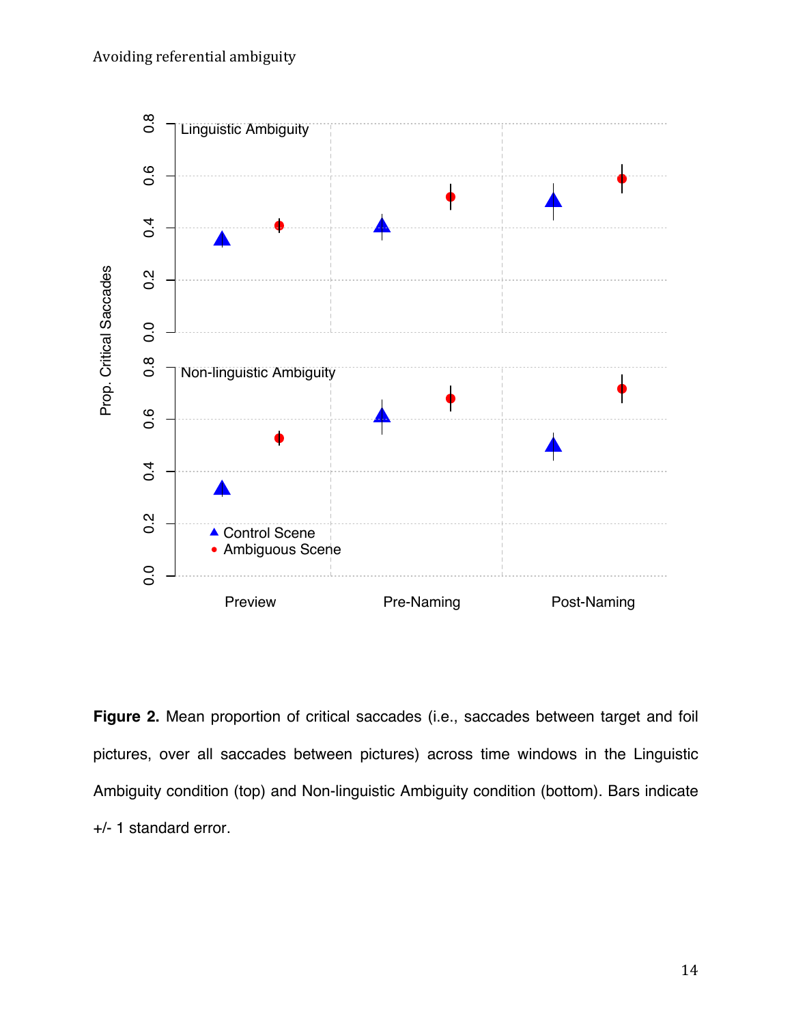

**Figure 2.** Mean proportion of critical saccades (i.e., saccades between target and foil pictures, over all saccades between pictures) across time windows in the Linguistic Ambiguity condition (top) and Non-linguistic Ambiguity condition (bottom). Bars indicate +/- 1 standard error.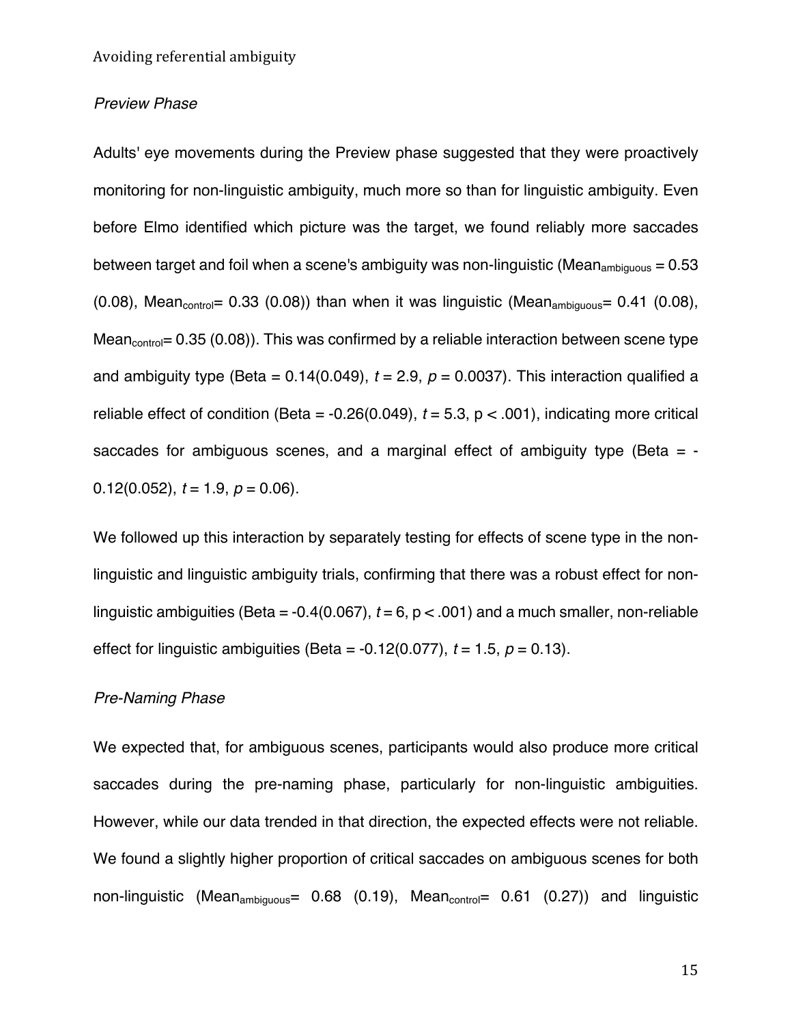## *Preview Phase*

Adults' eye movements during the Preview phase suggested that they were proactively monitoring for non-linguistic ambiguity, much more so than for linguistic ambiguity. Even before Elmo identified which picture was the target, we found reliably more saccades between target and foil when a scene's ambiguity was non-linguistic (Mean<sub>ambiguous</sub> =  $0.53$ ) (0.08), Mean $_{\text{control}}$  = 0.33 (0.08)) than when it was linguistic (Mean $_{\text{ambiouous}}$  = 0.41 (0.08), Mean $_{control}$ = 0.35 (0.08)). This was confirmed by a reliable interaction between scene type and ambiguity type (Beta =  $0.14(0.049)$ ,  $t = 2.9$ ,  $p = 0.0037$ ). This interaction qualified a reliable effect of condition (Beta =  $-0.26(0.049)$ ,  $t = 5.3$ ,  $p < .001$ ), indicating more critical saccades for ambiguous scenes, and a marginal effect of ambiguity type (Beta  $= -$ 0.12(0.052),  $t = 1.9$ ,  $p = 0.06$ ).

We followed up this interaction by separately testing for effects of scene type in the nonlinguistic and linguistic ambiguity trials, confirming that there was a robust effect for nonlinguistic ambiguities (Beta =  $-0.4(0.067)$ ,  $t = 6$ ,  $p < .001$ ) and a much smaller, non-reliable effect for linguistic ambiguities (Beta =  $-0.12(0.077)$ ,  $t = 1.5$ ,  $p = 0.13$ ).

## *Pre-Naming Phase*

We expected that, for ambiguous scenes, participants would also produce more critical saccades during the pre-naming phase, particularly for non-linguistic ambiguities. However, while our data trended in that direction, the expected effects were not reliable. We found a slightly higher proportion of critical saccades on ambiguous scenes for both non-linguistic (Mean<sub>ambiguous</sub> =  $0.68$  (0.19), Mean<sub>control</sub> =  $0.61$  (0.27)) and linguistic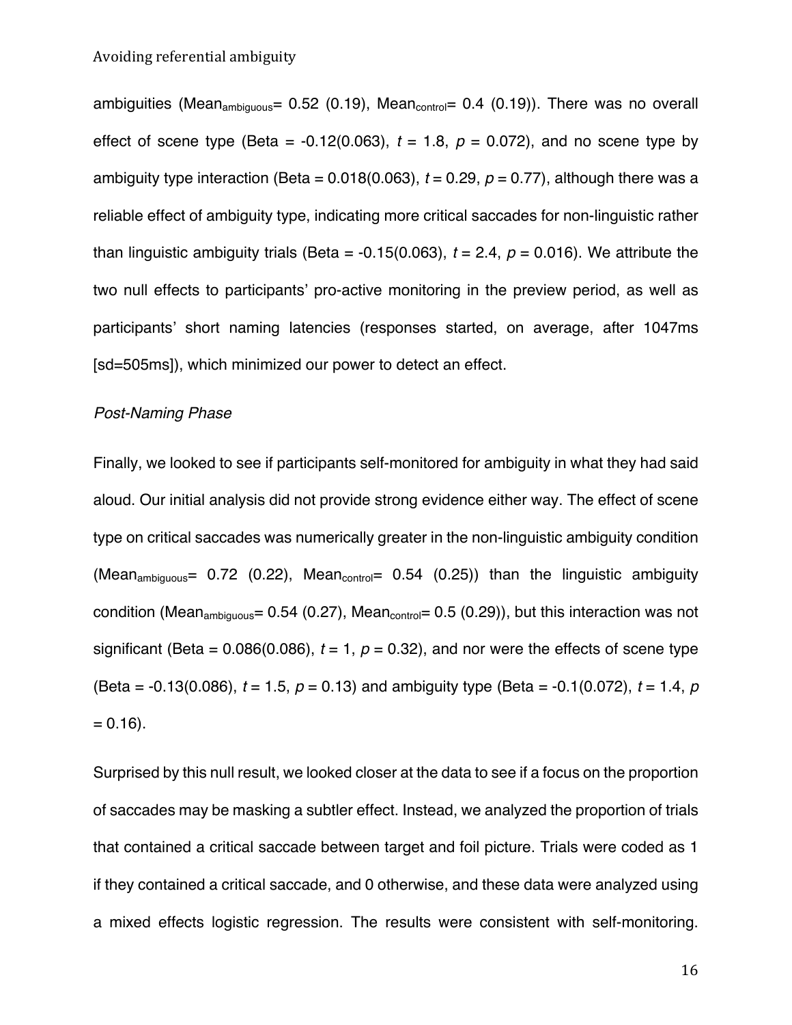ambiguities (Mean<sub>ambiguous</sub>=  $0.52$  (0.19), Mean<sub>control</sub>= 0.4 (0.19)). There was no overall effect of scene type (Beta =  $-0.12(0.063)$ ,  $t = 1.8$ ,  $p = 0.072$ ), and no scene type by ambiguity type interaction (Beta =  $0.018(0.063)$ ,  $t = 0.29$ ,  $p = 0.77$ ), although there was a reliable effect of ambiguity type, indicating more critical saccades for non-linguistic rather than linguistic ambiguity trials (Beta =  $-0.15(0.063)$ ,  $t = 2.4$ ,  $p = 0.016$ ). We attribute the two null effects to participants' pro-active monitoring in the preview period, as well as participants' short naming latencies (responses started, on average, after 1047ms [sd=505ms]), which minimized our power to detect an effect.

## *Post-Naming Phase*

Finally, we looked to see if participants self-monitored for ambiguity in what they had said aloud. Our initial analysis did not provide strong evidence either way. The effect of scene type on critical saccades was numerically greater in the non-linguistic ambiguity condition (Mean<sub>ambiguous</sub> = 0.72 (0.22), Mean<sub>control</sub> = 0.54 (0.25)) than the linguistic ambiguity condition (Mean<sub>ambiguous</sub>= 0.54 (0.27), Mean<sub>control</sub>= 0.5 (0.29)), but this interaction was not significant (Beta =  $0.086(0.086)$ ,  $t = 1$ ,  $p = 0.32$ ), and nor were the effects of scene type (Beta = -0.13(0.086), *t* = 1.5, *p* = 0.13) and ambiguity type (Beta = -0.1(0.072), *t* = 1.4, *p*  $= 0.16$ ).

Surprised by this null result, we looked closer at the data to see if a focus on the proportion of saccades may be masking a subtler effect. Instead, we analyzed the proportion of trials that contained a critical saccade between target and foil picture. Trials were coded as 1 if they contained a critical saccade, and 0 otherwise, and these data were analyzed using a mixed effects logistic regression. The results were consistent with self-monitoring.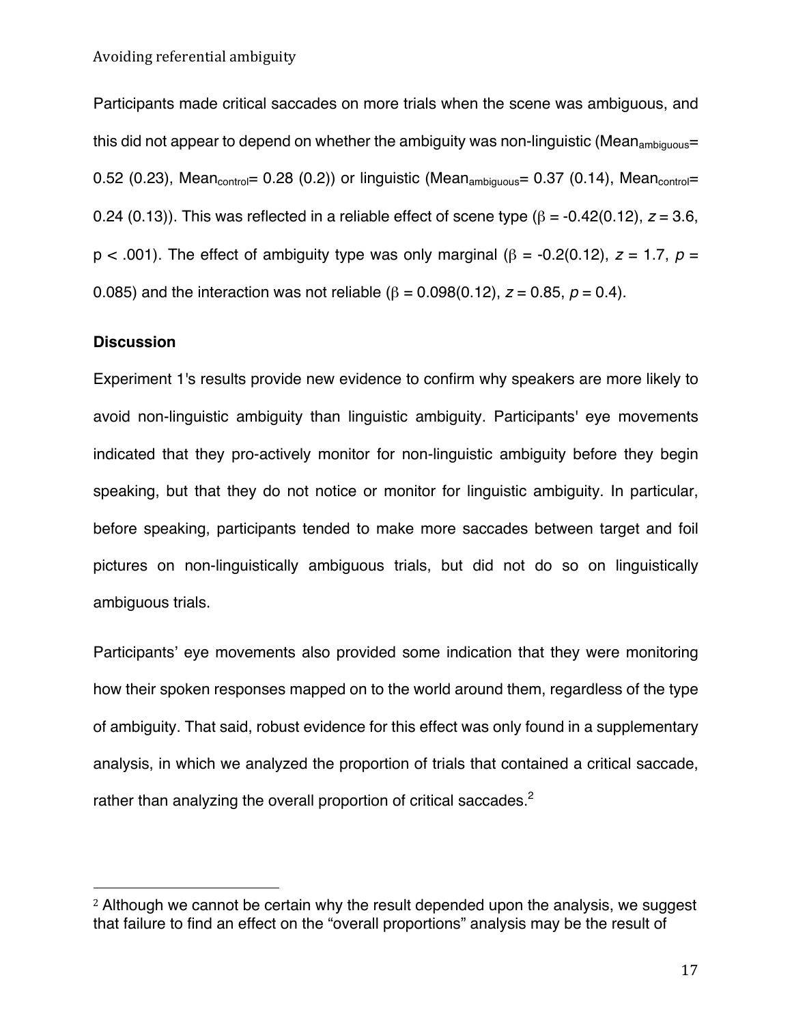Participants made critical saccades on more trials when the scene was ambiguous, and this did not appear to depend on whether the ambiguity was non-linguistic (Mean<sub>ambiquous</sub>= 0.52 (0.23), Mean $_{\text{control}}$ = 0.28 (0.2)) or linguistic (Mean $_{\text{ambiauous}}$ = 0.37 (0.14), Mean $_{\text{control}}$ = 0.24 (0.13)). This was reflected in a reliable effect of scene type ( $\beta$  = -0.42(0.12),  $z$  = 3.6, p < .001). The effect of ambiguity type was only marginal (β = -0.2(0.12), *z* = 1.7, *p* = 0.085) and the interaction was not reliable ( $β = 0.098(0.12)$ ,  $z = 0.85$ ,  $p = 0.4$ ).

## **Discussion**

 

Experiment 1's results provide new evidence to confirm why speakers are more likely to avoid non-linguistic ambiguity than linguistic ambiguity. Participants' eye movements indicated that they pro-actively monitor for non-linguistic ambiguity before they begin speaking, but that they do not notice or monitor for linguistic ambiguity. In particular, before speaking, participants tended to make more saccades between target and foil pictures on non-linguistically ambiguous trials, but did not do so on linguistically ambiguous trials.

Participants' eye movements also provided some indication that they were monitoring how their spoken responses mapped on to the world around them, regardless of the type of ambiguity. That said, robust evidence for this effect was only found in a supplementary analysis, in which we analyzed the proportion of trials that contained a critical saccade, rather than analyzing the overall proportion of critical saccades.<sup>2</sup>

<sup>2</sup> Although we cannot be certain why the result depended upon the analysis, we suggest that failure to find an effect on the "overall proportions" analysis may be the result of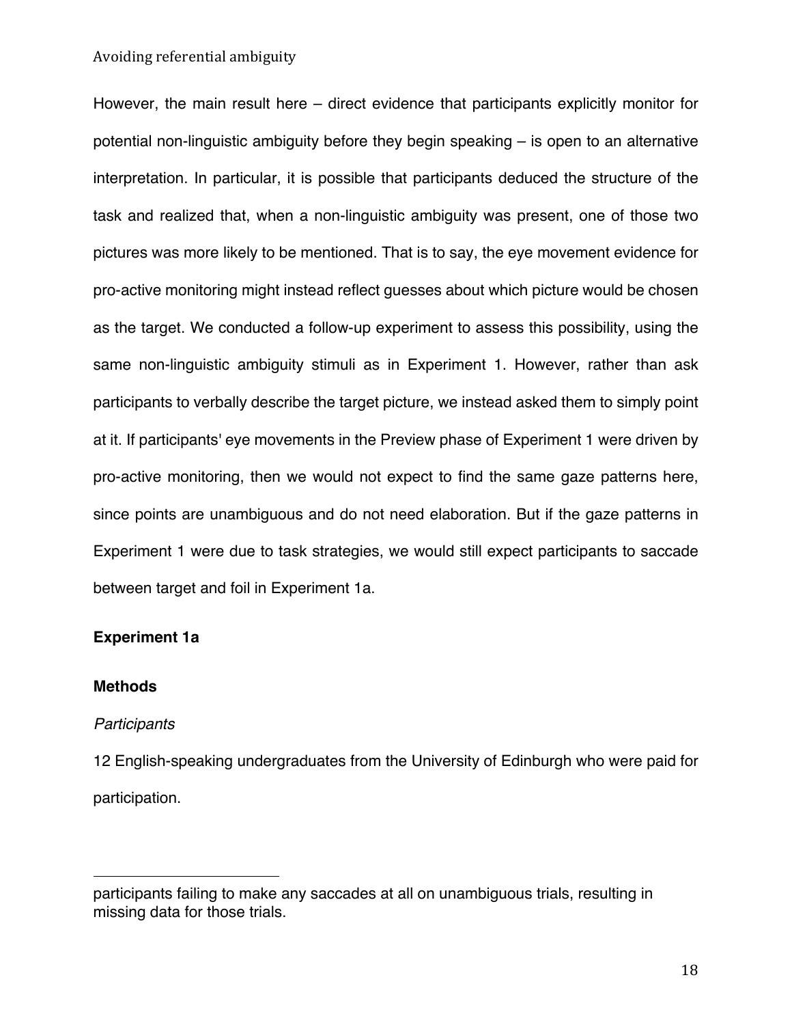However, the main result here – direct evidence that participants explicitly monitor for potential non-linguistic ambiguity before they begin speaking – is open to an alternative interpretation. In particular, it is possible that participants deduced the structure of the task and realized that, when a non-linguistic ambiguity was present, one of those two pictures was more likely to be mentioned. That is to say, the eye movement evidence for pro-active monitoring might instead reflect guesses about which picture would be chosen as the target. We conducted a follow-up experiment to assess this possibility, using the same non-linguistic ambiguity stimuli as in Experiment 1. However, rather than ask participants to verbally describe the target picture, we instead asked them to simply point at it. If participants' eye movements in the Preview phase of Experiment 1 were driven by pro-active monitoring, then we would not expect to find the same gaze patterns here, since points are unambiguous and do not need elaboration. But if the gaze patterns in Experiment 1 were due to task strategies, we would still expect participants to saccade between target and foil in Experiment 1a.

## **Experiment 1a**

## **Methods**

#### *Participants*

 

12 English-speaking undergraduates from the University of Edinburgh who were paid for participation.

participants failing to make any saccades at all on unambiguous trials, resulting in missing data for those trials.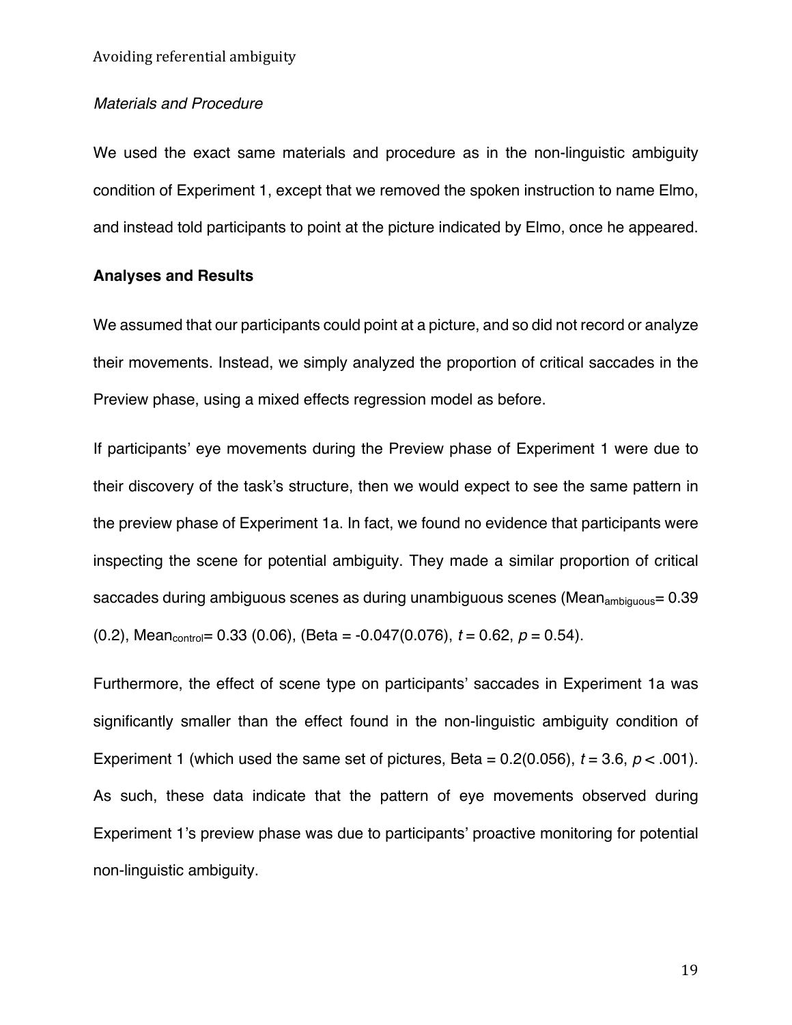## *Materials and Procedure*

We used the exact same materials and procedure as in the non-linguistic ambiguity condition of Experiment 1, except that we removed the spoken instruction to name Elmo, and instead told participants to point at the picture indicated by Elmo, once he appeared.

## **Analyses and Results**

We assumed that our participants could point at a picture, and so did not record or analyze their movements. Instead, we simply analyzed the proportion of critical saccades in the Preview phase, using a mixed effects regression model as before.

If participants' eye movements during the Preview phase of Experiment 1 were due to their discovery of the task's structure, then we would expect to see the same pattern in the preview phase of Experiment 1a. In fact, we found no evidence that participants were inspecting the scene for potential ambiguity. They made a similar proportion of critical saccades during ambiguous scenes as during unambiguous scenes (Mean<sub>ambiguous</sub>=  $0.39$ )  $(0.2)$ , Mean<sub>control</sub>= 0.33 (0.06), (Beta = -0.047(0.076),  $t = 0.62$ ,  $p = 0.54$ ).

Furthermore, the effect of scene type on participants' saccades in Experiment 1a was significantly smaller than the effect found in the non-linguistic ambiguity condition of Experiment 1 (which used the same set of pictures, Beta =  $0.2(0.056)$ ,  $t = 3.6$ ,  $p < .001$ ). As such, these data indicate that the pattern of eye movements observed during Experiment 1's preview phase was due to participants' proactive monitoring for potential non-linguistic ambiguity.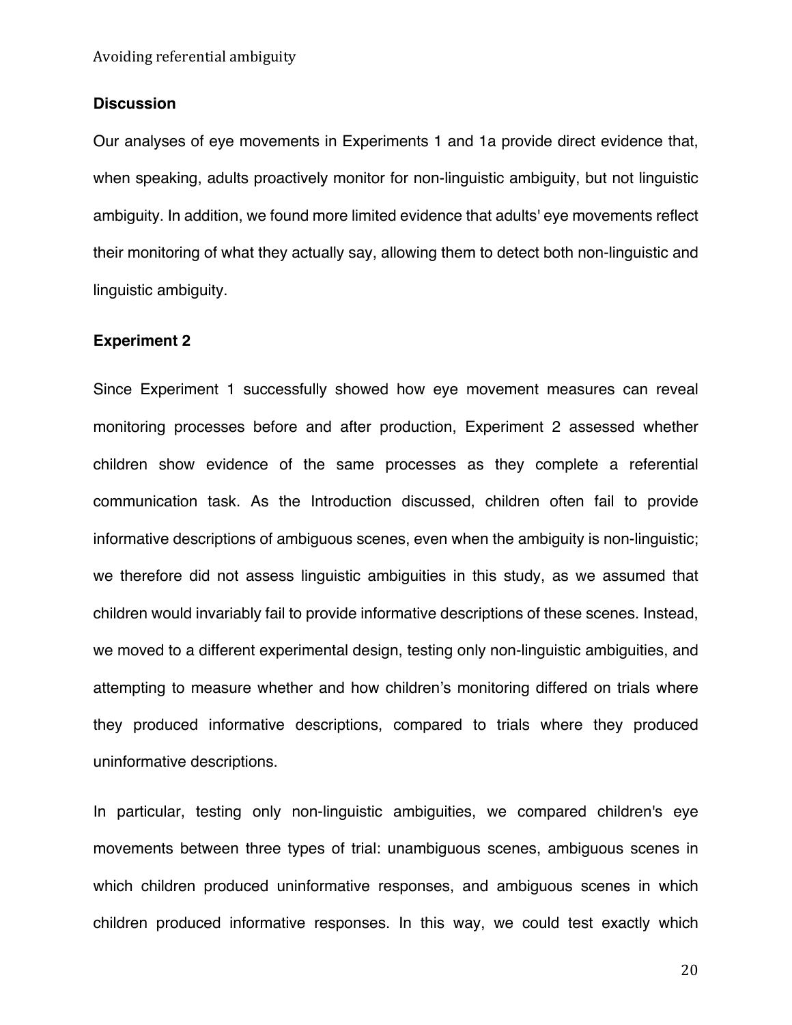## **Discussion**

Our analyses of eye movements in Experiments 1 and 1a provide direct evidence that, when speaking, adults proactively monitor for non-linguistic ambiguity, but not linguistic ambiguity. In addition, we found more limited evidence that adults' eye movements reflect their monitoring of what they actually say, allowing them to detect both non-linguistic and linguistic ambiguity.

## **Experiment 2**

Since Experiment 1 successfully showed how eye movement measures can reveal monitoring processes before and after production, Experiment 2 assessed whether children show evidence of the same processes as they complete a referential communication task. As the Introduction discussed, children often fail to provide informative descriptions of ambiguous scenes, even when the ambiguity is non-linguistic; we therefore did not assess linguistic ambiguities in this study, as we assumed that children would invariably fail to provide informative descriptions of these scenes. Instead, we moved to a different experimental design, testing only non-linguistic ambiguities, and attempting to measure whether and how children's monitoring differed on trials where they produced informative descriptions, compared to trials where they produced uninformative descriptions.

In particular, testing only non-linguistic ambiguities, we compared children's eye movements between three types of trial: unambiguous scenes, ambiguous scenes in which children produced uninformative responses, and ambiguous scenes in which children produced informative responses. In this way, we could test exactly which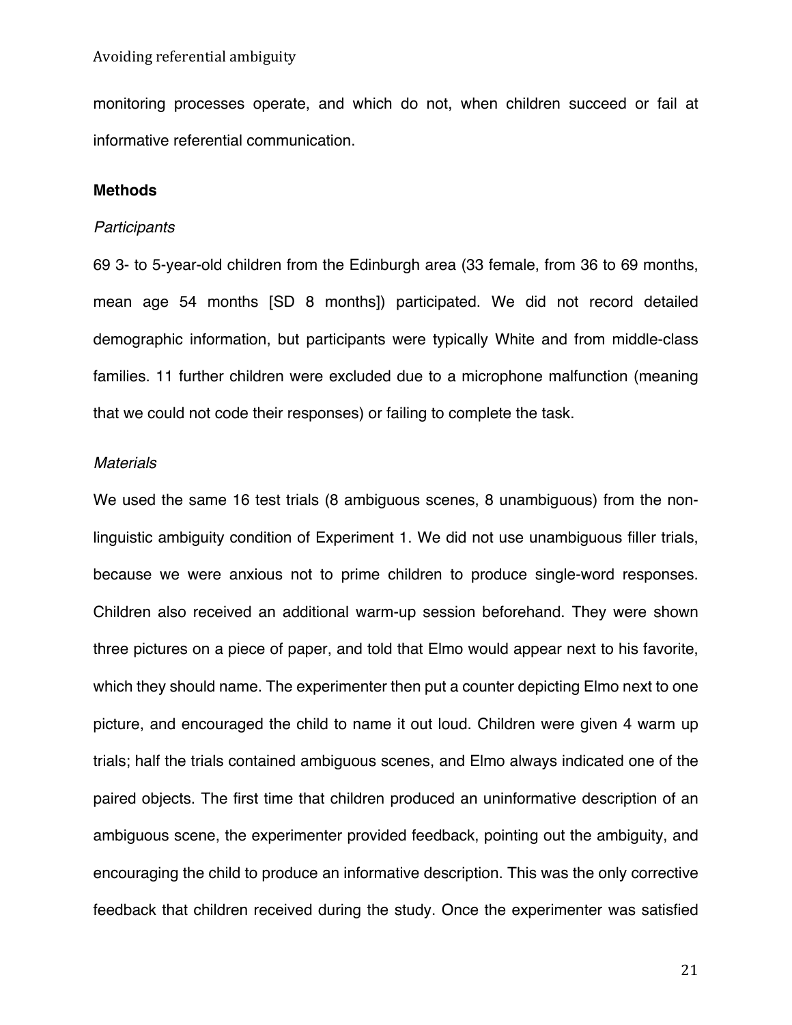monitoring processes operate, and which do not, when children succeed or fail at informative referential communication.

## **Methods**

## *Participants*

69 3- to 5-year-old children from the Edinburgh area (33 female, from 36 to 69 months, mean age 54 months [SD 8 months]) participated. We did not record detailed demographic information, but participants were typically White and from middle-class families. 11 further children were excluded due to a microphone malfunction (meaning that we could not code their responses) or failing to complete the task.

## *Materials*

We used the same 16 test trials (8 ambiguous scenes, 8 unambiguous) from the nonlinguistic ambiguity condition of Experiment 1. We did not use unambiguous filler trials, because we were anxious not to prime children to produce single-word responses. Children also received an additional warm-up session beforehand. They were shown three pictures on a piece of paper, and told that Elmo would appear next to his favorite, which they should name. The experimenter then put a counter depicting Elmo next to one picture, and encouraged the child to name it out loud. Children were given 4 warm up trials; half the trials contained ambiguous scenes, and Elmo always indicated one of the paired objects. The first time that children produced an uninformative description of an ambiguous scene, the experimenter provided feedback, pointing out the ambiguity, and encouraging the child to produce an informative description. This was the only corrective feedback that children received during the study. Once the experimenter was satisfied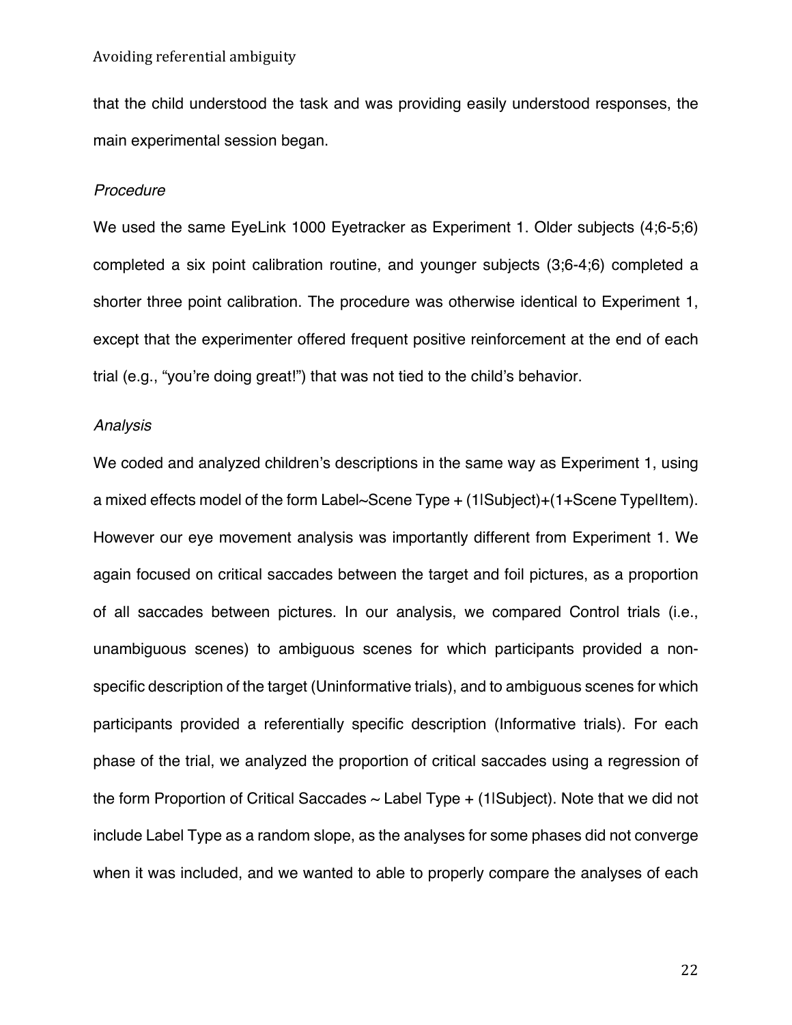that the child understood the task and was providing easily understood responses, the main experimental session began.

#### *Procedure*

We used the same EyeLink 1000 Eyetracker as Experiment 1. Older subjects (4;6-5;6) completed a six point calibration routine, and younger subjects (3;6-4;6) completed a shorter three point calibration. The procedure was otherwise identical to Experiment 1, except that the experimenter offered frequent positive reinforcement at the end of each trial (e.g., "you're doing great!") that was not tied to the child's behavior.

## *Analysis*

We coded and analyzed children's descriptions in the same way as Experiment 1, using a mixed effects model of the form Label~Scene Type + (1|Subject)+(1+Scene Type|Item). However our eye movement analysis was importantly different from Experiment 1. We again focused on critical saccades between the target and foil pictures, as a proportion of all saccades between pictures. In our analysis, we compared Control trials (i.e., unambiguous scenes) to ambiguous scenes for which participants provided a nonspecific description of the target (Uninformative trials), and to ambiguous scenes for which participants provided a referentially specific description (Informative trials). For each phase of the trial, we analyzed the proportion of critical saccades using a regression of the form Proportion of Critical Saccades  $\sim$  Label Type  $+$  (1lSubject). Note that we did not include Label Type as a random slope, as the analyses for some phases did not converge when it was included, and we wanted to able to properly compare the analyses of each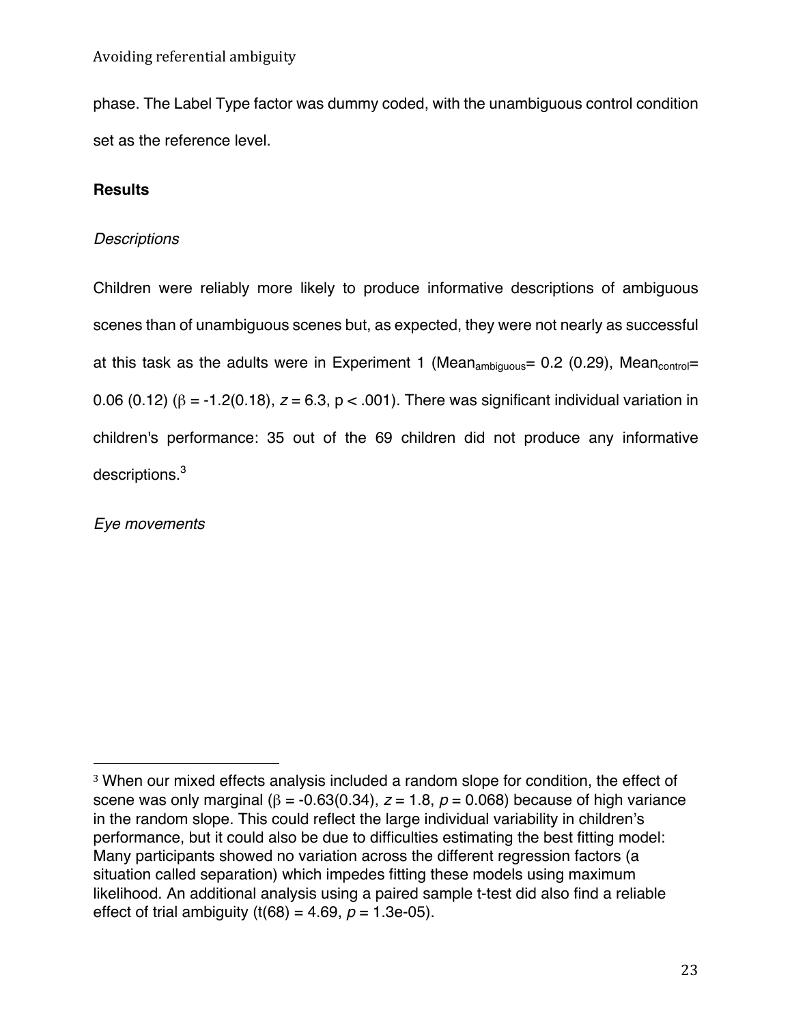phase. The Label Type factor was dummy coded, with the unambiguous control condition set as the reference level.

## **Results**

## *Descriptions*

Children were reliably more likely to produce informative descriptions of ambiguous scenes than of unambiguous scenes but, as expected, they were not nearly as successful at this task as the adults were in Experiment 1 (Mean<sub>ambiguous</sub>= 0.2 (0.29), Mean<sub>control</sub>= 0.06 (0.12) (β = -1.2(0.18), *z* = 6.3, p < .001). There was significant individual variation in children's performance: 35 out of the 69 children did not produce any informative descriptions.<sup>3</sup>

*Eye movements*

<sup>3</sup> When our mixed effects analysis included a random slope for condition, the effect of scene was only marginal ( $β = -0.63(0.34)$ ,  $z = 1.8$ ,  $p = 0.068$ ) because of high variance in the random slope. This could reflect the large individual variability in children's performance, but it could also be due to difficulties estimating the best fitting model: Many participants showed no variation across the different regression factors (a situation called separation) which impedes fitting these models using maximum likelihood. An additional analysis using a paired sample t-test did also find a reliable effect of trial ambiguity (t(68) = 4.69,  $p = 1.3e-05$ ).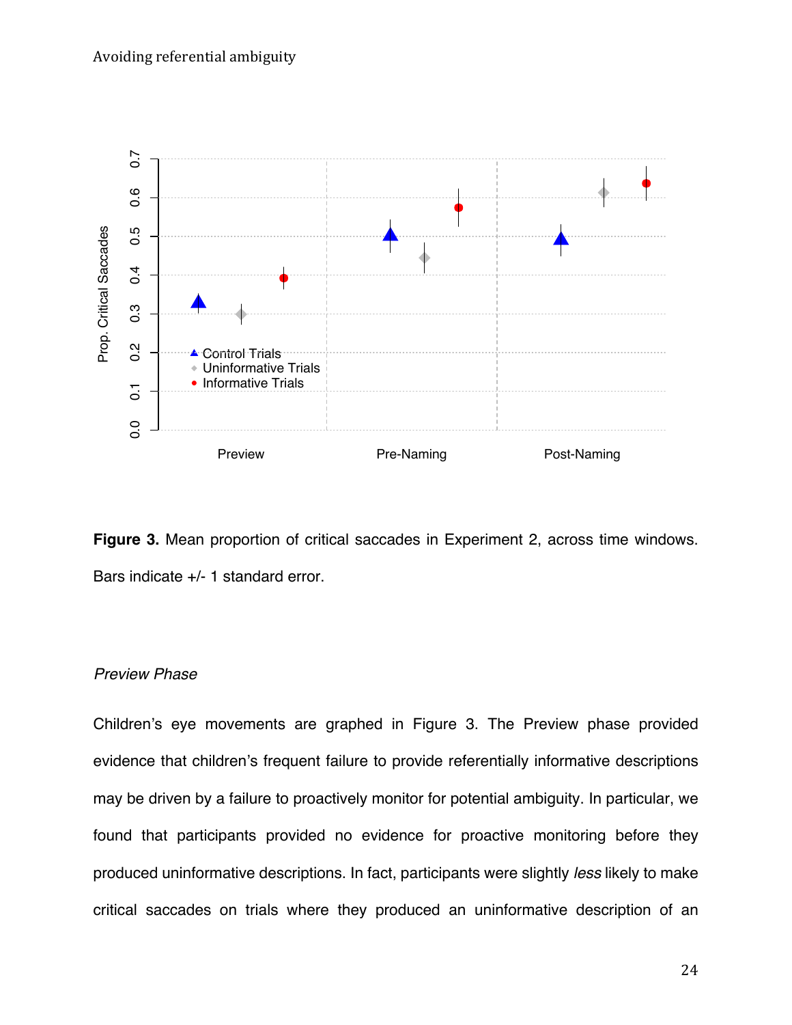



## *Preview Phase*

Children's eye movements are graphed in Figure 3. The Preview phase provided evidence that children's frequent failure to provide referentially informative descriptions may be driven by a failure to proactively monitor for potential ambiguity. In particular, we found that participants provided no evidence for proactive monitoring before they produced uninformative descriptions. In fact, participants were slightly *less* likely to make critical saccades on trials where they produced an uninformative description of an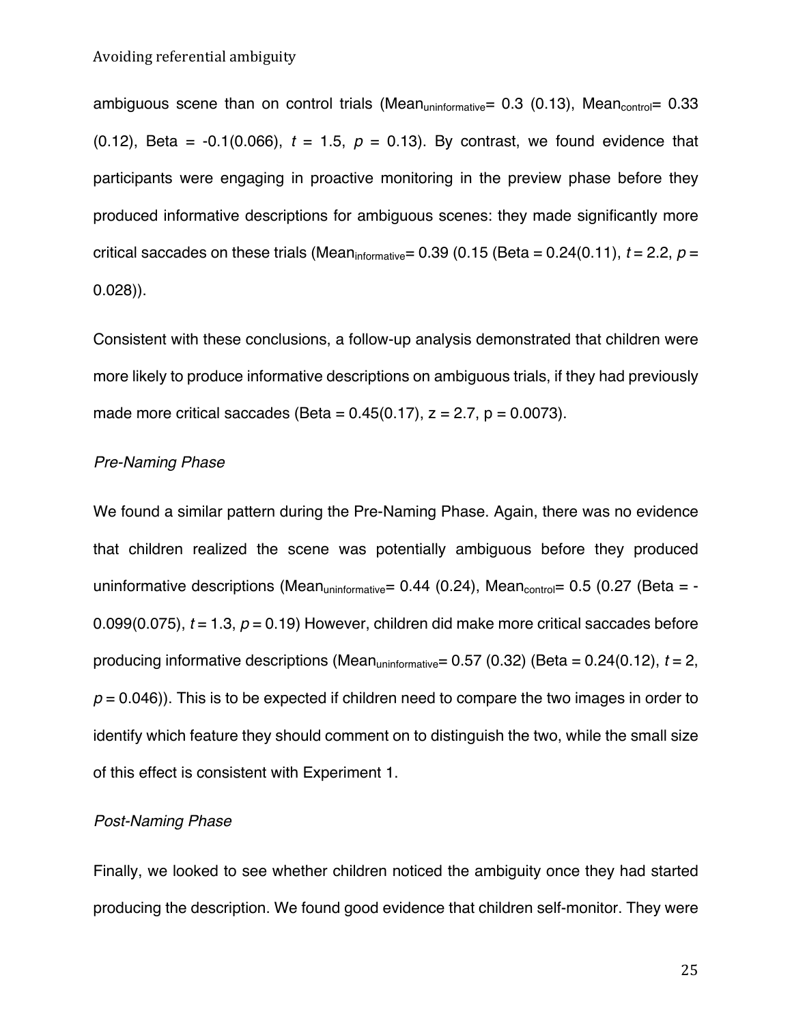ambiguous scene than on control trials (Mean<sub>uninformative</sub>=  $0.3$  (0.13), Mean<sub>control</sub>=  $0.33$ (0.12), Beta = -0.1(0.066), *t* = 1.5, *p* = 0.13). By contrast, we found evidence that participants were engaging in proactive monitoring in the preview phase before they produced informative descriptions for ambiguous scenes: they made significantly more critical saccades on these trials (Mean<sub>informative</sub>= 0.39 (0.15 (Beta = 0.24(0.11),  $t = 2.2$ ,  $p =$ 0.028)).

Consistent with these conclusions, a follow-up analysis demonstrated that children were more likely to produce informative descriptions on ambiguous trials, if they had previously made more critical saccades (Beta =  $0.45(0.17)$ ,  $z = 2.7$ ,  $p = 0.0073$ ).

## *Pre-Naming Phase*

We found a similar pattern during the Pre-Naming Phase. Again, there was no evidence that children realized the scene was potentially ambiguous before they produced uninformative descriptions (Mean<sub>uninformative</sub>= 0.44 (0.24), Mean<sub>control</sub>= 0.5 (0.27 (Beta = -0.099(0.075), *t* = 1.3, *p* = 0.19) However, children did make more critical saccades before producing informative descriptions (Meanuninformative= 0.57 (0.32) (Beta = 0.24(0.12), *t* = 2,  $p = 0.046$ )). This is to be expected if children need to compare the two images in order to identify which feature they should comment on to distinguish the two, while the small size of this effect is consistent with Experiment 1.

## *Post-Naming Phase*

Finally, we looked to see whether children noticed the ambiguity once they had started producing the description. We found good evidence that children self-monitor. They were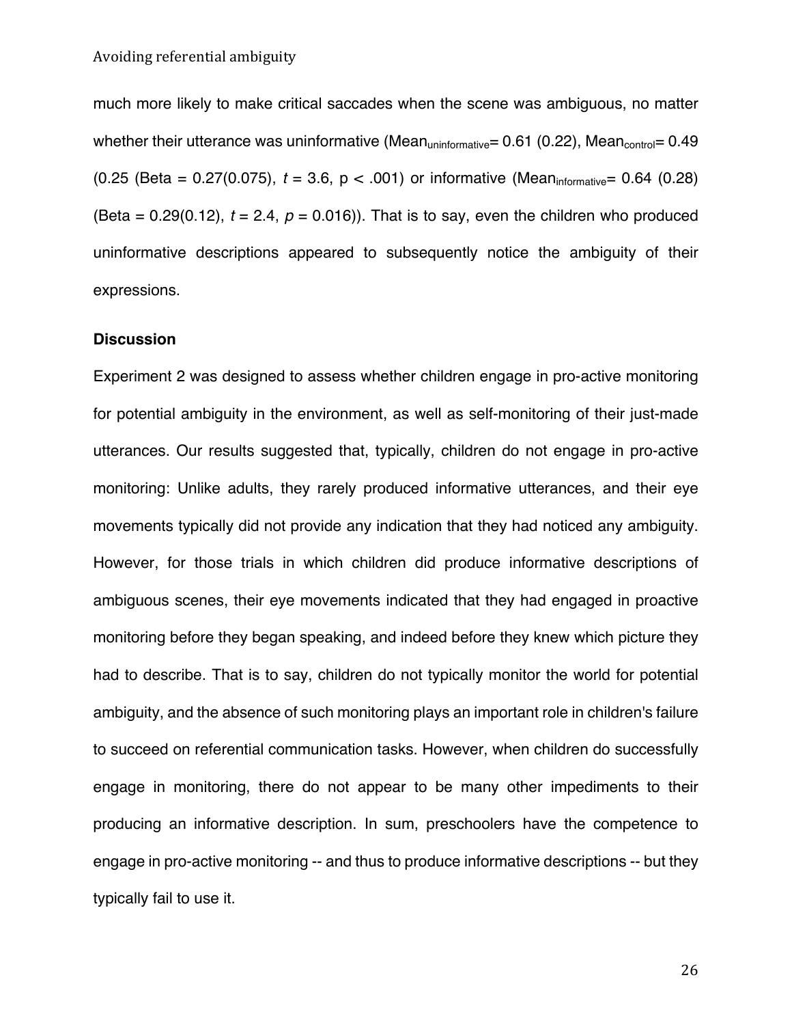much more likely to make critical saccades when the scene was ambiguous, no matter whether their utterance was uninformative (Mean<sub>uninformative</sub>=  $0.61$  (0.22), Mean<sub>control</sub>=  $0.49$ (0.25 (Beta =  $0.27(0.075)$ ,  $t = 3.6$ ,  $p < .001$ ) or informative (Mean<sub>informative</sub>= 0.64 (0.28) (Beta =  $0.29(0.12)$ ,  $t = 2.4$ ,  $p = 0.016$ )). That is to say, even the children who produced uninformative descriptions appeared to subsequently notice the ambiguity of their expressions.

## **Discussion**

Experiment 2 was designed to assess whether children engage in pro-active monitoring for potential ambiguity in the environment, as well as self-monitoring of their just-made utterances. Our results suggested that, typically, children do not engage in pro-active monitoring: Unlike adults, they rarely produced informative utterances, and their eye movements typically did not provide any indication that they had noticed any ambiguity. However, for those trials in which children did produce informative descriptions of ambiguous scenes, their eye movements indicated that they had engaged in proactive monitoring before they began speaking, and indeed before they knew which picture they had to describe. That is to say, children do not typically monitor the world for potential ambiguity, and the absence of such monitoring plays an important role in children's failure to succeed on referential communication tasks. However, when children do successfully engage in monitoring, there do not appear to be many other impediments to their producing an informative description. In sum, preschoolers have the competence to engage in pro-active monitoring -- and thus to produce informative descriptions -- but they typically fail to use it.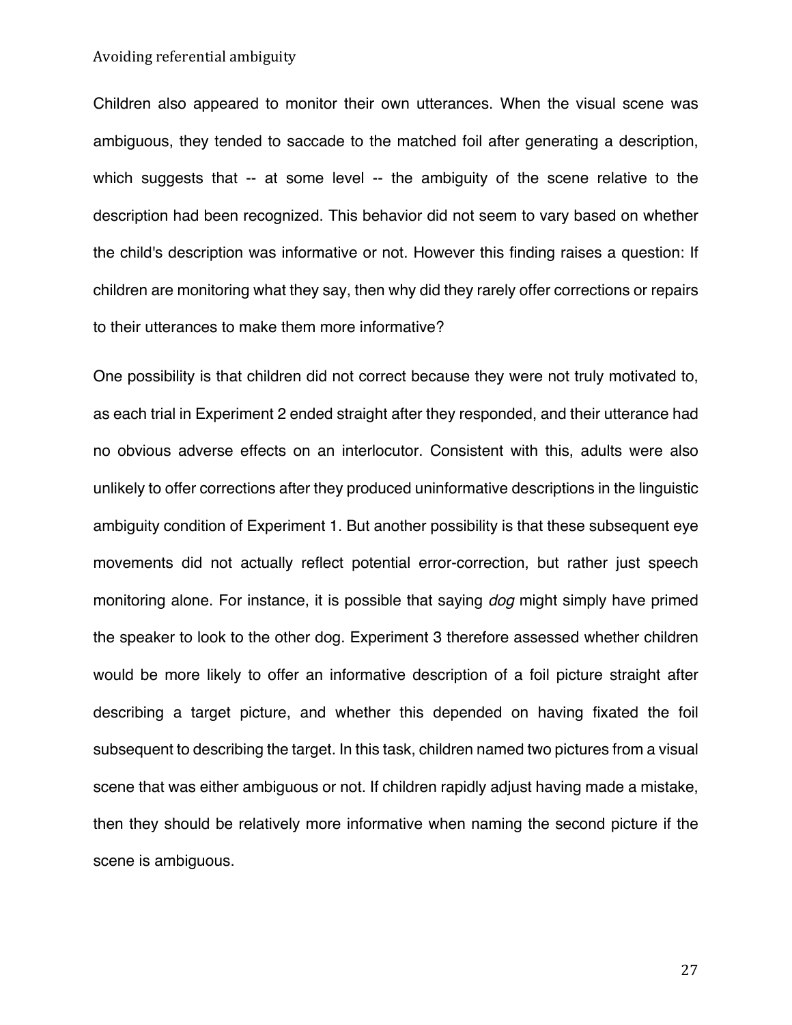Children also appeared to monitor their own utterances. When the visual scene was ambiguous, they tended to saccade to the matched foil after generating a description, which suggests that -- at some level -- the ambiguity of the scene relative to the description had been recognized. This behavior did not seem to vary based on whether the child's description was informative or not. However this finding raises a question: If children are monitoring what they say, then why did they rarely offer corrections or repairs to their utterances to make them more informative?

One possibility is that children did not correct because they were not truly motivated to, as each trial in Experiment 2 ended straight after they responded, and their utterance had no obvious adverse effects on an interlocutor. Consistent with this, adults were also unlikely to offer corrections after they produced uninformative descriptions in the linguistic ambiguity condition of Experiment 1. But another possibility is that these subsequent eye movements did not actually reflect potential error-correction, but rather just speech monitoring alone. For instance, it is possible that saying *dog* might simply have primed the speaker to look to the other dog. Experiment 3 therefore assessed whether children would be more likely to offer an informative description of a foil picture straight after describing a target picture, and whether this depended on having fixated the foil subsequent to describing the target. In this task, children named two pictures from a visual scene that was either ambiguous or not. If children rapidly adjust having made a mistake, then they should be relatively more informative when naming the second picture if the scene is ambiguous.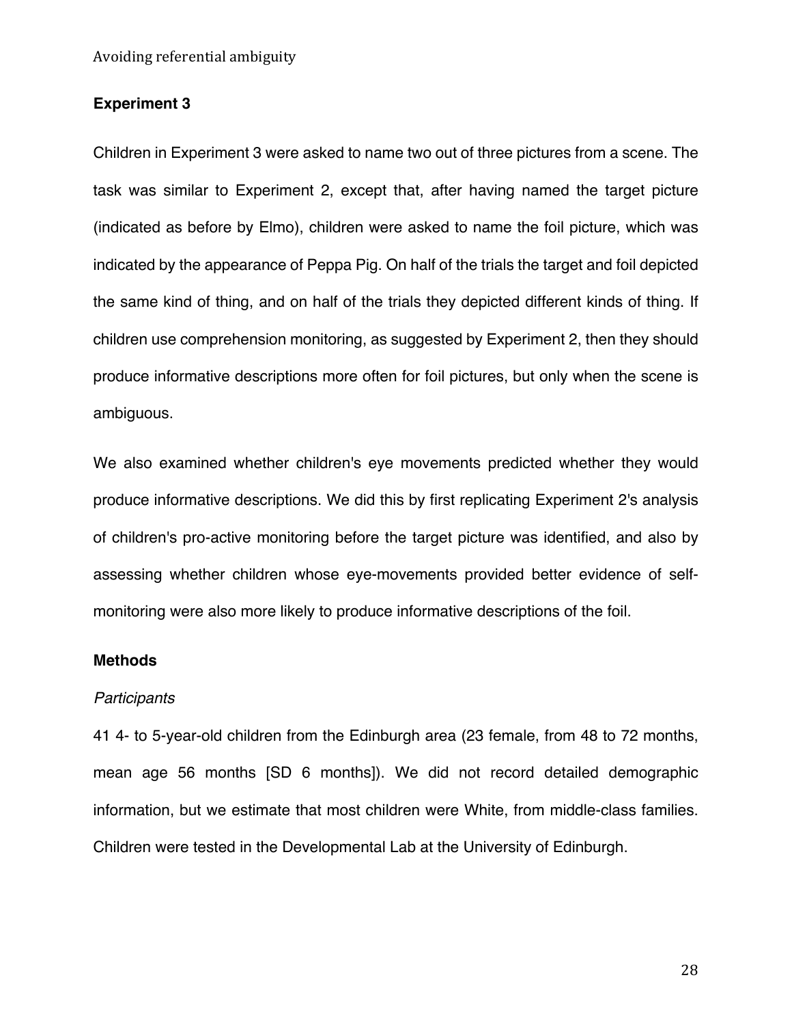## **Experiment 3**

Children in Experiment 3 were asked to name two out of three pictures from a scene. The task was similar to Experiment 2, except that, after having named the target picture (indicated as before by Elmo), children were asked to name the foil picture, which was indicated by the appearance of Peppa Pig. On half of the trials the target and foil depicted the same kind of thing, and on half of the trials they depicted different kinds of thing. If children use comprehension monitoring, as suggested by Experiment 2, then they should produce informative descriptions more often for foil pictures, but only when the scene is ambiguous.

We also examined whether children's eye movements predicted whether they would produce informative descriptions. We did this by first replicating Experiment 2's analysis of children's pro-active monitoring before the target picture was identified, and also by assessing whether children whose eye-movements provided better evidence of selfmonitoring were also more likely to produce informative descriptions of the foil.

#### **Methods**

## *Participants*

41 4- to 5-year-old children from the Edinburgh area (23 female, from 48 to 72 months, mean age 56 months [SD 6 months]). We did not record detailed demographic information, but we estimate that most children were White, from middle-class families. Children were tested in the Developmental Lab at the University of Edinburgh.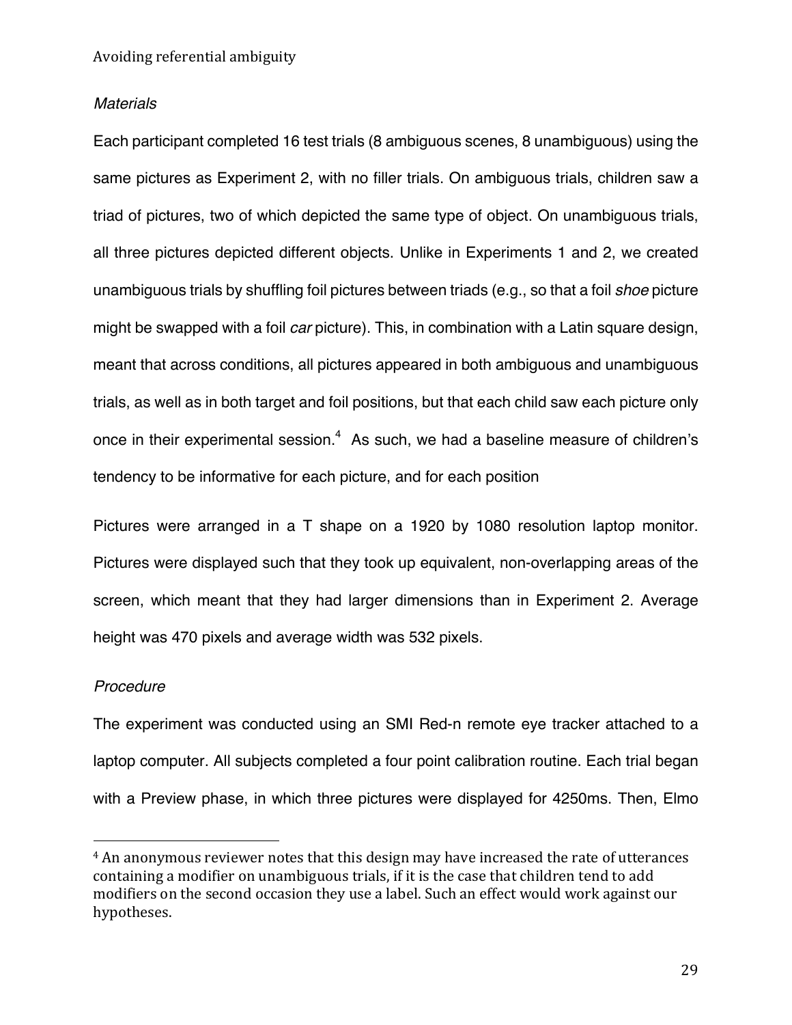## *Materials*

Each participant completed 16 test trials (8 ambiguous scenes, 8 unambiguous) using the same pictures as Experiment 2, with no filler trials. On ambiguous trials, children saw a triad of pictures, two of which depicted the same type of object. On unambiguous trials, all three pictures depicted different objects. Unlike in Experiments 1 and 2, we created unambiguous trials by shuffling foil pictures between triads (e.g., so that a foil *shoe* picture might be swapped with a foil *car* picture). This, in combination with a Latin square design, meant that across conditions, all pictures appeared in both ambiguous and unambiguous trials, as well as in both target and foil positions, but that each child saw each picture only once in their experimental session. $4\,$  As such, we had a baseline measure of children's tendency to be informative for each picture, and for each position

Pictures were arranged in a T shape on a 1920 by 1080 resolution laptop monitor. Pictures were displayed such that they took up equivalent, non-overlapping areas of the screen, which meant that they had larger dimensions than in Experiment 2. Average height was 470 pixels and average width was 532 pixels.

#### *Procedure*

 

The experiment was conducted using an SMI Red-n remote eye tracker attached to a laptop computer. All subjects completed a four point calibration routine. Each trial began with a Preview phase, in which three pictures were displayed for 4250ms. Then, Elmo

<sup>&</sup>lt;sup>4</sup> An anonymous reviewer notes that this design may have increased the rate of utterances containing a modifier on unambiguous trials, if it is the case that children tend to add modifiers on the second occasion they use a label. Such an effect would work against our hypotheses.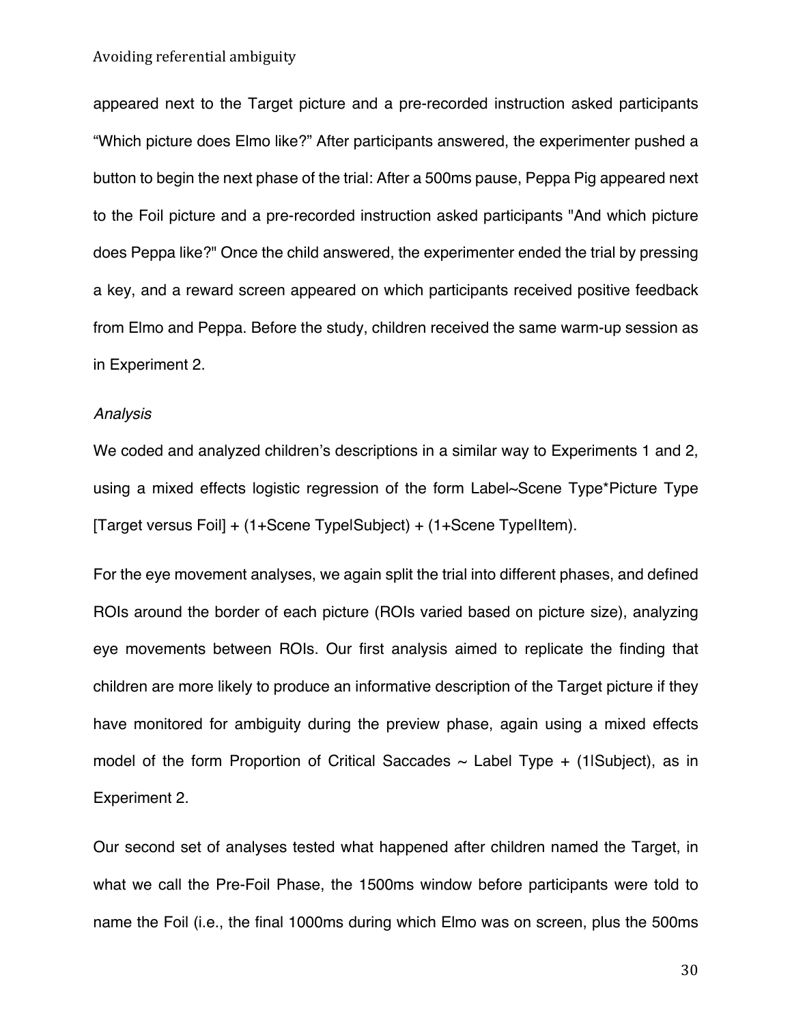appeared next to the Target picture and a pre-recorded instruction asked participants "Which picture does Elmo like?" After participants answered, the experimenter pushed a button to begin the next phase of the trial: After a 500ms pause, Peppa Pig appeared next to the Foil picture and a pre-recorded instruction asked participants "And which picture does Peppa like?" Once the child answered, the experimenter ended the trial by pressing a key, and a reward screen appeared on which participants received positive feedback from Elmo and Peppa. Before the study, children received the same warm-up session as in Experiment 2.

## *Analysis*

We coded and analyzed children's descriptions in a similar way to Experiments 1 and 2, using a mixed effects logistic regression of the form Label~Scene Type\*Picture Type [Target versus Foil] + (1+Scene Type|Subject) + (1+Scene Type|Item).

For the eye movement analyses, we again split the trial into different phases, and defined ROIs around the border of each picture (ROIs varied based on picture size), analyzing eye movements between ROIs. Our first analysis aimed to replicate the finding that children are more likely to produce an informative description of the Target picture if they have monitored for ambiguity during the preview phase, again using a mixed effects model of the form Proportion of Critical Saccades  $\sim$  Label Type + (1|Subject), as in Experiment 2.

Our second set of analyses tested what happened after children named the Target, in what we call the Pre-Foil Phase, the 1500ms window before participants were told to name the Foil (i.e., the final 1000ms during which Elmo was on screen, plus the 500ms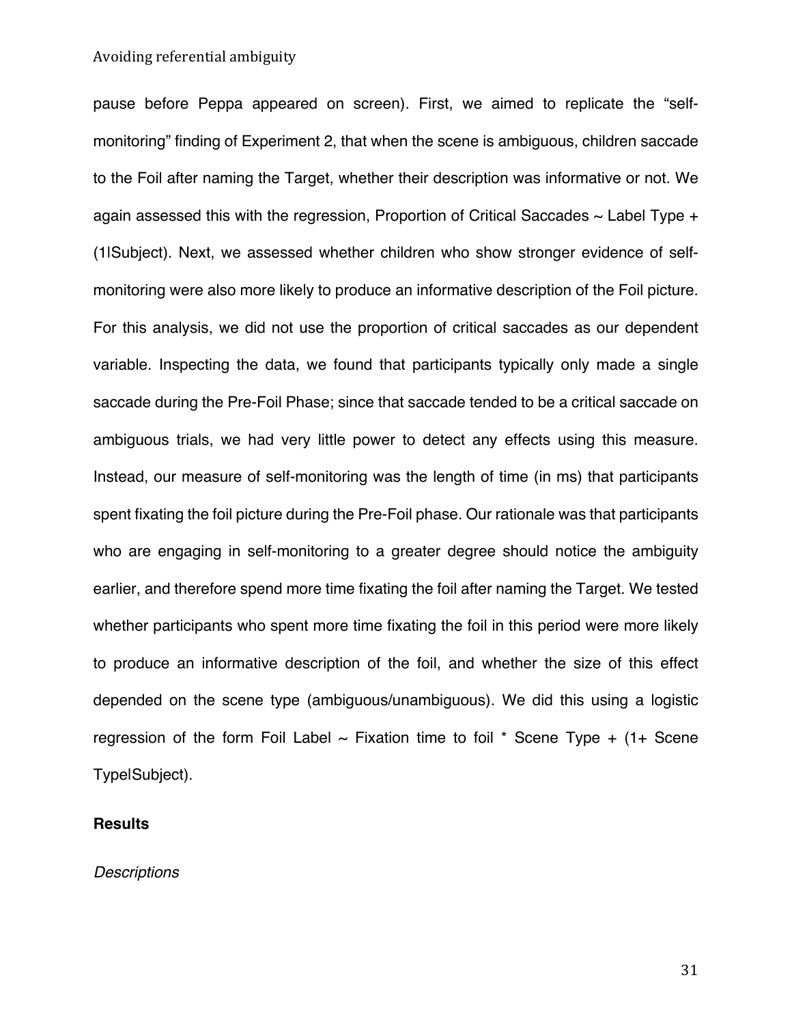pause before Peppa appeared on screen). First, we aimed to replicate the "selfmonitoring" finding of Experiment 2, that when the scene is ambiguous, children saccade to the Foil after naming the Target, whether their description was informative or not. We again assessed this with the regression, Proportion of Critical Saccades  $\sim$  Label Type  $+$ (1|Subject). Next, we assessed whether children who show stronger evidence of selfmonitoring were also more likely to produce an informative description of the Foil picture. For this analysis, we did not use the proportion of critical saccades as our dependent variable. Inspecting the data, we found that participants typically only made a single saccade during the Pre-Foil Phase; since that saccade tended to be a critical saccade on ambiguous trials, we had very little power to detect any effects using this measure. Instead, our measure of self-monitoring was the length of time (in ms) that participants spent fixating the foil picture during the Pre-Foil phase. Our rationale was that participants who are engaging in self-monitoring to a greater degree should notice the ambiguity earlier, and therefore spend more time fixating the foil after naming the Target. We tested whether participants who spent more time fixating the foil in this period were more likely to produce an informative description of the foil, and whether the size of this effect depended on the scene type (ambiguous/unambiguous). We did this using a logistic regression of the form Foil Label  $\sim$  Fixation time to foil  $*$  Scene Type  $+$  (1+ Scene Type|Subject).

## **Results**

*Descriptions*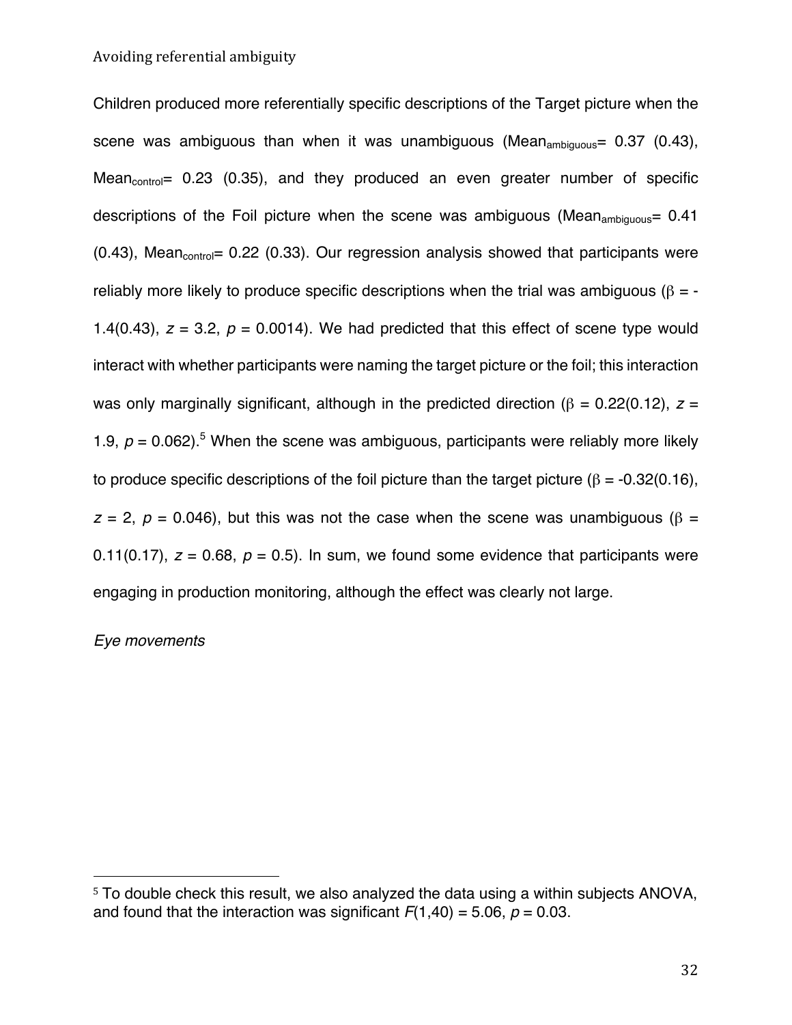Children produced more referentially specific descriptions of the Target picture when the scene was ambiguous than when it was unambiguous (Mean<sub>ambiguous</sub>=  $0.37$  (0.43), Mean $_{control}$  = 0.23 (0.35), and they produced an even greater number of specific descriptions of the Foil picture when the scene was ambiguous (Mean<sub>ambiguous</sub>=  $0.41$ )  $(0.43)$ , Mean<sub>control</sub> = 0.22 (0.33). Our regression analysis showed that participants were reliably more likely to produce specific descriptions when the trial was ambiguous ( $\beta = -$ 1.4(0.43),  $z = 3.2$ ,  $p = 0.0014$ ). We had predicted that this effect of scene type would interact with whether participants were naming the target picture or the foil; this interaction was only marginally significant, although in the predicted direction ( $\beta$  = 0.22(0.12),  $z$  = 1.9,  $p = 0.062$ ).<sup>5</sup> When the scene was ambiguous, participants were reliably more likely to produce specific descriptions of the foil picture than the target picture ( $\beta$  = -0.32(0.16),  $z = 2$ ,  $p = 0.046$ ), but this was not the case when the scene was unambiguous ( $\beta =$ 0.11(0.17),  $z = 0.68$ ,  $p = 0.5$ ). In sum, we found some evidence that participants were engaging in production monitoring, although the effect was clearly not large.

## *Eye movements*

<sup>5</sup> To double check this result, we also analyzed the data using a within subjects ANOVA, and found that the interaction was significant  $F(1,40) = 5.06$ ,  $p = 0.03$ .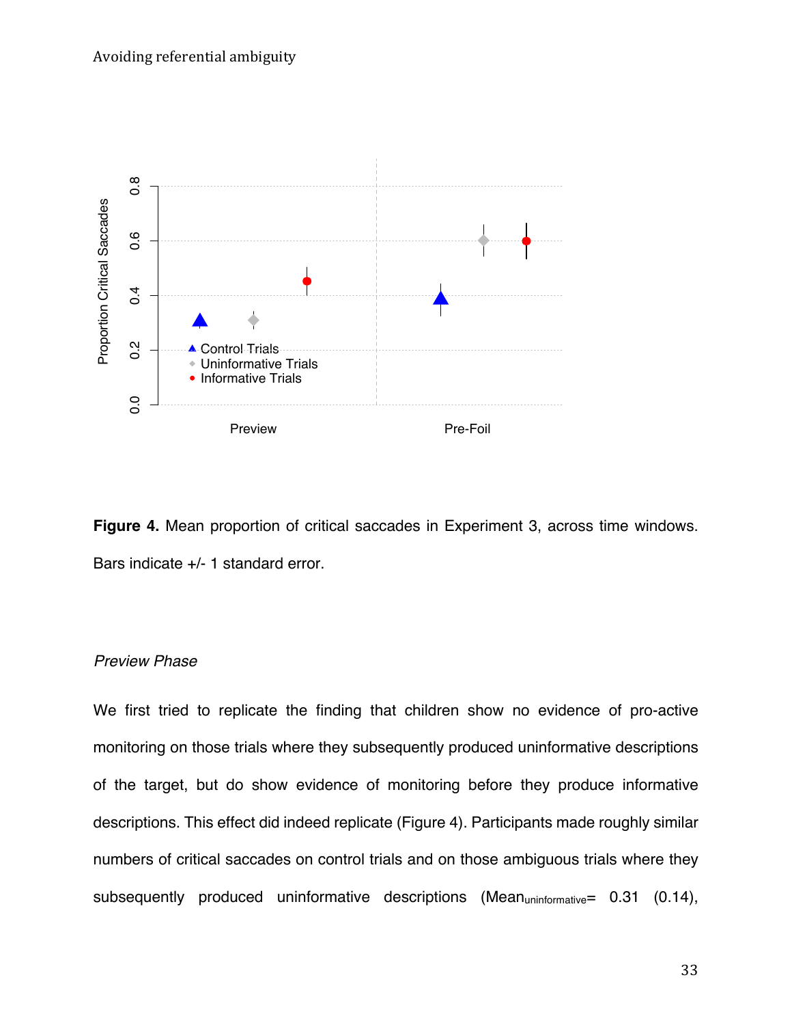

**Figure 4.** Mean proportion of critical saccades in Experiment 3, across time windows. Bars indicate +/- 1 standard error.

## *Preview Phase*

We first tried to replicate the finding that children show no evidence of pro-active monitoring on those trials where they subsequently produced uninformative descriptions of the target, but do show evidence of monitoring before they produce informative descriptions. This effect did indeed replicate (Figure 4). Participants made roughly similar numbers of critical saccades on control trials and on those ambiguous trials where they subsequently produced uninformative descriptions (Mean<sub>uninformative</sub> =  $0.31$  (0.14),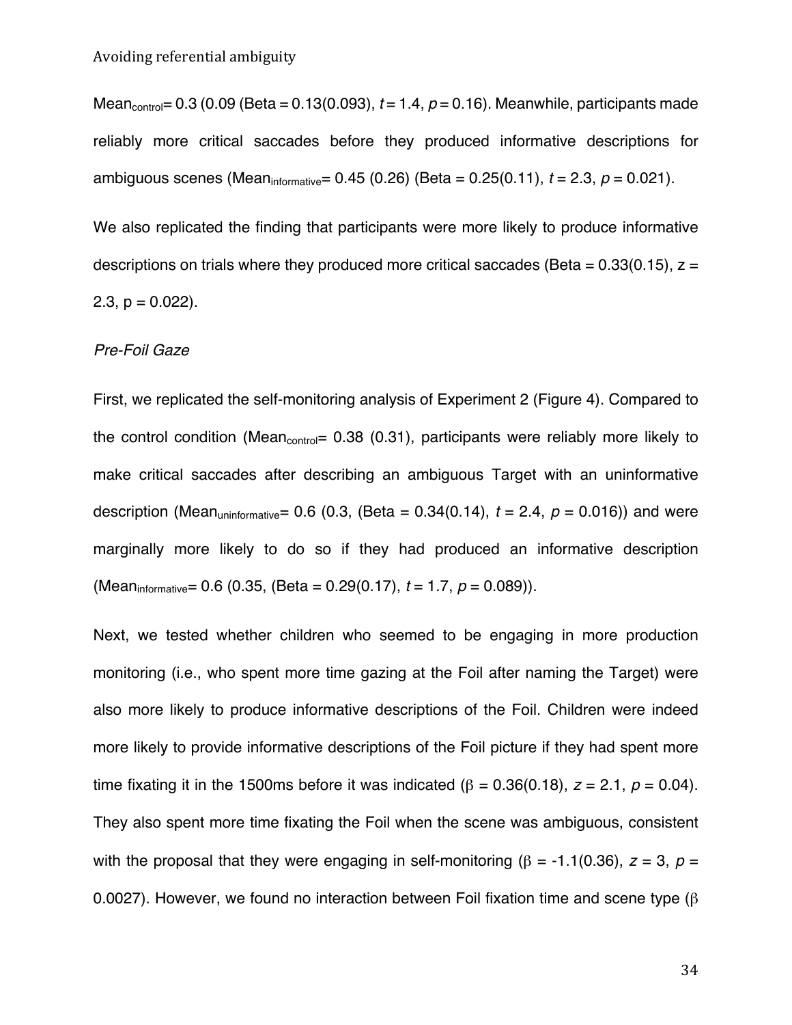Mean<sub>control</sub>=  $0.3$  (0.09 (Beta =  $0.13(0.093)$ ,  $t = 1.4$ ,  $p = 0.16$ ). Meanwhile, participants made reliably more critical saccades before they produced informative descriptions for ambiguous scenes (Meaninformative= 0.45 (0.26) (Beta = 0.25(0.11), *t* = 2.3, *p* = 0.021).

We also replicated the finding that participants were more likely to produce informative descriptions on trials where they produced more critical saccades (Beta =  $0.33(0.15)$ ,  $z =$ 2.3,  $p = 0.022$ ).

## *Pre-Foil Gaze*

First, we replicated the self-monitoring analysis of Experiment 2 (Figure 4). Compared to the control condition (Mean<sub>control</sub> =  $0.38$  (0.31), participants were reliably more likely to make critical saccades after describing an ambiguous Target with an uninformative description (Mean<sub>uninformative</sub>=  $0.6$  (0.3, (Beta =  $0.34(0.14)$ ,  $t = 2.4$ ,  $p = 0.016$ )) and were marginally more likely to do so if they had produced an informative description (Meaninformative= 0.6 (0.35, (Beta = 0.29(0.17), *t* = 1.7, *p* = 0.089)).

Next, we tested whether children who seemed to be engaging in more production monitoring (i.e., who spent more time gazing at the Foil after naming the Target) were also more likely to produce informative descriptions of the Foil. Children were indeed more likely to provide informative descriptions of the Foil picture if they had spent more time fixating it in the 1500ms before it was indicated ( $\beta$  = 0.36(0.18), *z* = 2.1, *p* = 0.04). They also spent more time fixating the Foil when the scene was ambiguous, consistent with the proposal that they were engaging in self-monitoring ( $\beta$  = -1.1(0.36), *z* = 3, *p* = 0.0027). However, we found no interaction between Foil fixation time and scene type (β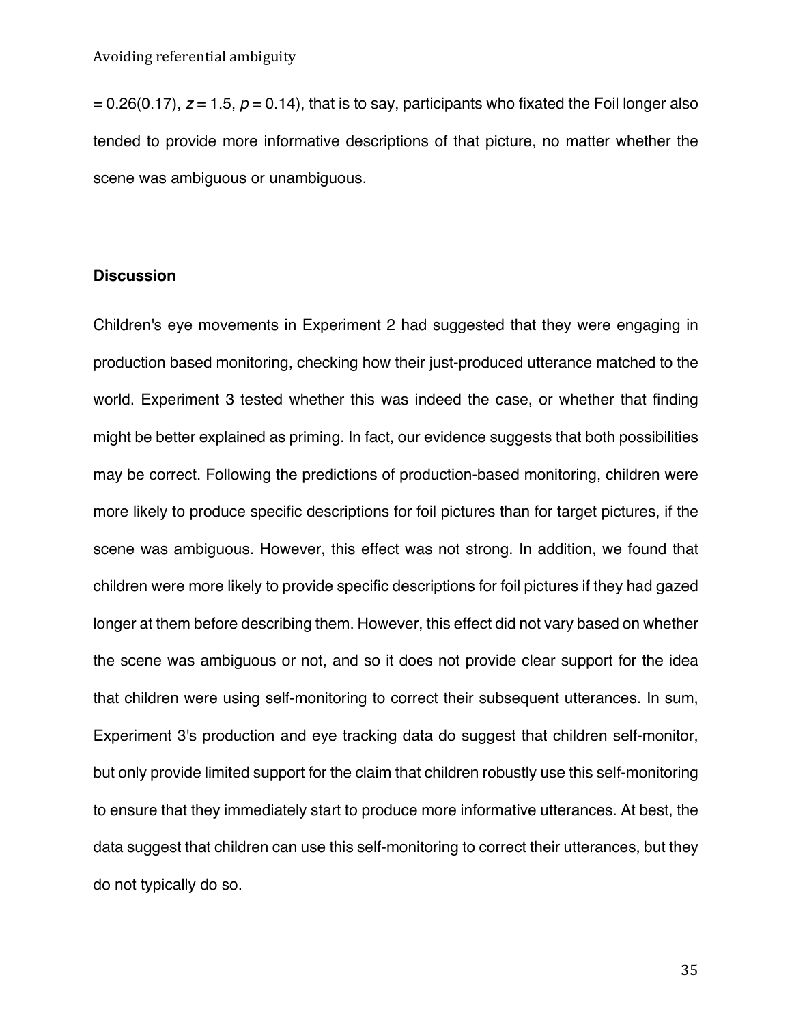$= 0.26(0.17)$ ,  $z = 1.5$ ,  $p = 0.14$ ), that is to say, participants who fixated the Foil longer also tended to provide more informative descriptions of that picture, no matter whether the scene was ambiguous or unambiguous.

## **Discussion**

Children's eye movements in Experiment 2 had suggested that they were engaging in production based monitoring, checking how their just-produced utterance matched to the world. Experiment 3 tested whether this was indeed the case, or whether that finding might be better explained as priming. In fact, our evidence suggests that both possibilities may be correct. Following the predictions of production-based monitoring, children were more likely to produce specific descriptions for foil pictures than for target pictures, if the scene was ambiguous. However, this effect was not strong. In addition, we found that children were more likely to provide specific descriptions for foil pictures if they had gazed longer at them before describing them. However, this effect did not vary based on whether the scene was ambiguous or not, and so it does not provide clear support for the idea that children were using self-monitoring to correct their subsequent utterances. In sum, Experiment 3's production and eye tracking data do suggest that children self-monitor, but only provide limited support for the claim that children robustly use this self-monitoring to ensure that they immediately start to produce more informative utterances. At best, the data suggest that children can use this self-monitoring to correct their utterances, but they do not typically do so.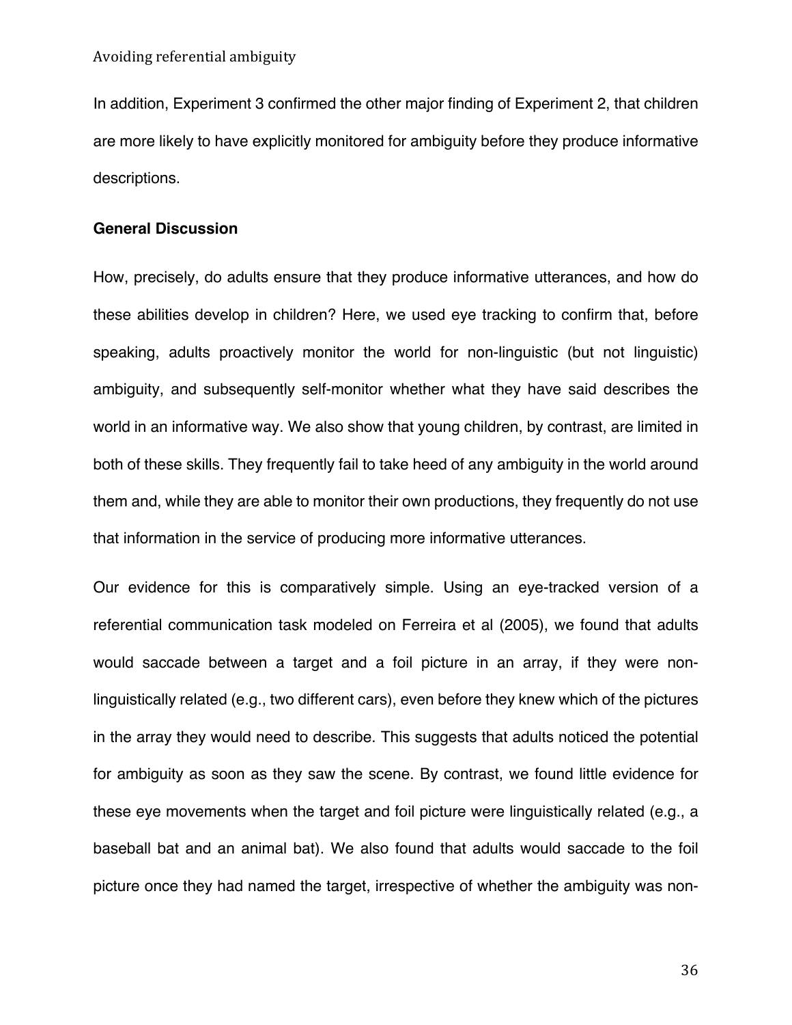In addition, Experiment 3 confirmed the other major finding of Experiment 2, that children are more likely to have explicitly monitored for ambiguity before they produce informative descriptions.

## **General Discussion**

How, precisely, do adults ensure that they produce informative utterances, and how do these abilities develop in children? Here, we used eye tracking to confirm that, before speaking, adults proactively monitor the world for non-linguistic (but not linguistic) ambiguity, and subsequently self-monitor whether what they have said describes the world in an informative way. We also show that young children, by contrast, are limited in both of these skills. They frequently fail to take heed of any ambiguity in the world around them and, while they are able to monitor their own productions, they frequently do not use that information in the service of producing more informative utterances.

Our evidence for this is comparatively simple. Using an eye-tracked version of a referential communication task modeled on Ferreira et al (2005), we found that adults would saccade between a target and a foil picture in an array, if they were nonlinguistically related (e.g., two different cars), even before they knew which of the pictures in the array they would need to describe. This suggests that adults noticed the potential for ambiguity as soon as they saw the scene. By contrast, we found little evidence for these eye movements when the target and foil picture were linguistically related (e.g., a baseball bat and an animal bat). We also found that adults would saccade to the foil picture once they had named the target, irrespective of whether the ambiguity was non-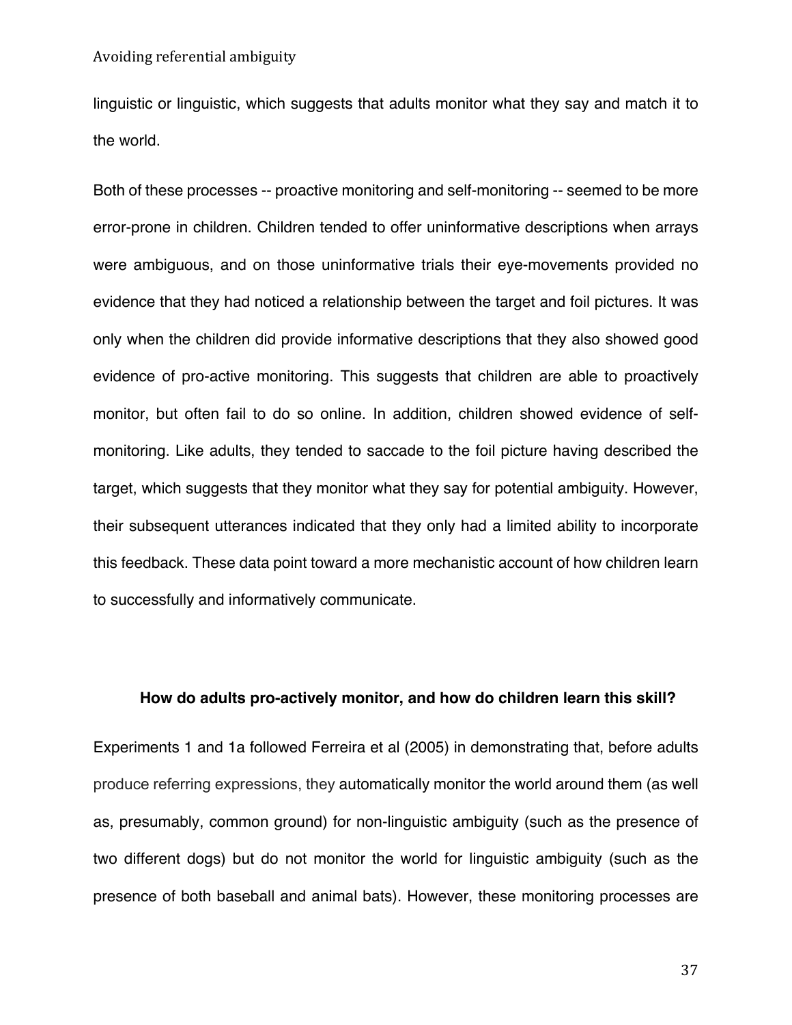linguistic or linguistic, which suggests that adults monitor what they say and match it to the world.

Both of these processes -- proactive monitoring and self-monitoring -- seemed to be more error-prone in children. Children tended to offer uninformative descriptions when arrays were ambiguous, and on those uninformative trials their eye-movements provided no evidence that they had noticed a relationship between the target and foil pictures. It was only when the children did provide informative descriptions that they also showed good evidence of pro-active monitoring. This suggests that children are able to proactively monitor, but often fail to do so online. In addition, children showed evidence of selfmonitoring. Like adults, they tended to saccade to the foil picture having described the target, which suggests that they monitor what they say for potential ambiguity. However, their subsequent utterances indicated that they only had a limited ability to incorporate this feedback. These data point toward a more mechanistic account of how children learn to successfully and informatively communicate.

## **How do adults pro-actively monitor, and how do children learn this skill?**

Experiments 1 and 1a followed Ferreira et al (2005) in demonstrating that, before adults produce referring expressions, they automatically monitor the world around them (as well as, presumably, common ground) for non-linguistic ambiguity (such as the presence of two different dogs) but do not monitor the world for linguistic ambiguity (such as the presence of both baseball and animal bats). However, these monitoring processes are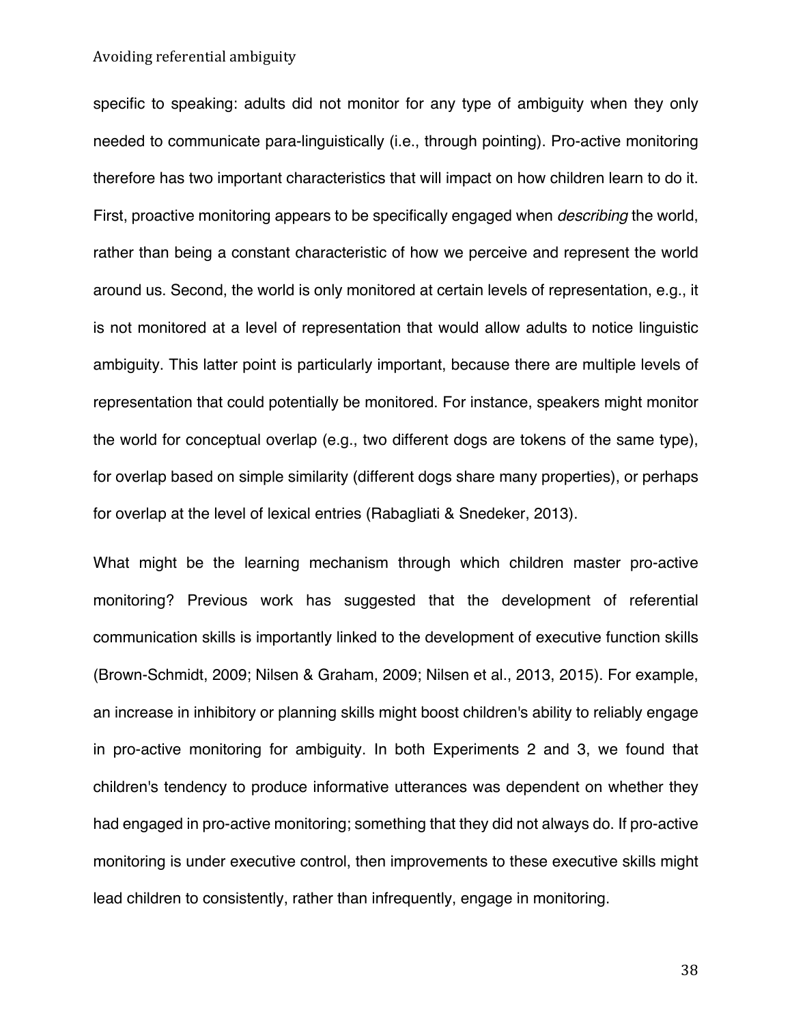specific to speaking: adults did not monitor for any type of ambiguity when they only needed to communicate para-linguistically (i.e., through pointing). Pro-active monitoring therefore has two important characteristics that will impact on how children learn to do it. First, proactive monitoring appears to be specifically engaged when *describing* the world, rather than being a constant characteristic of how we perceive and represent the world around us. Second, the world is only monitored at certain levels of representation, e.g., it is not monitored at a level of representation that would allow adults to notice linguistic ambiguity. This latter point is particularly important, because there are multiple levels of representation that could potentially be monitored. For instance, speakers might monitor the world for conceptual overlap (e.g., two different dogs are tokens of the same type), for overlap based on simple similarity (different dogs share many properties), or perhaps for overlap at the level of lexical entries (Rabagliati & Snedeker, 2013).

What might be the learning mechanism through which children master pro-active monitoring? Previous work has suggested that the development of referential communication skills is importantly linked to the development of executive function skills (Brown-Schmidt, 2009; Nilsen & Graham, 2009; Nilsen et al., 2013, 2015). For example, an increase in inhibitory or planning skills might boost children's ability to reliably engage in pro-active monitoring for ambiguity. In both Experiments 2 and 3, we found that children's tendency to produce informative utterances was dependent on whether they had engaged in pro-active monitoring; something that they did not always do. If pro-active monitoring is under executive control, then improvements to these executive skills might lead children to consistently, rather than infrequently, engage in monitoring.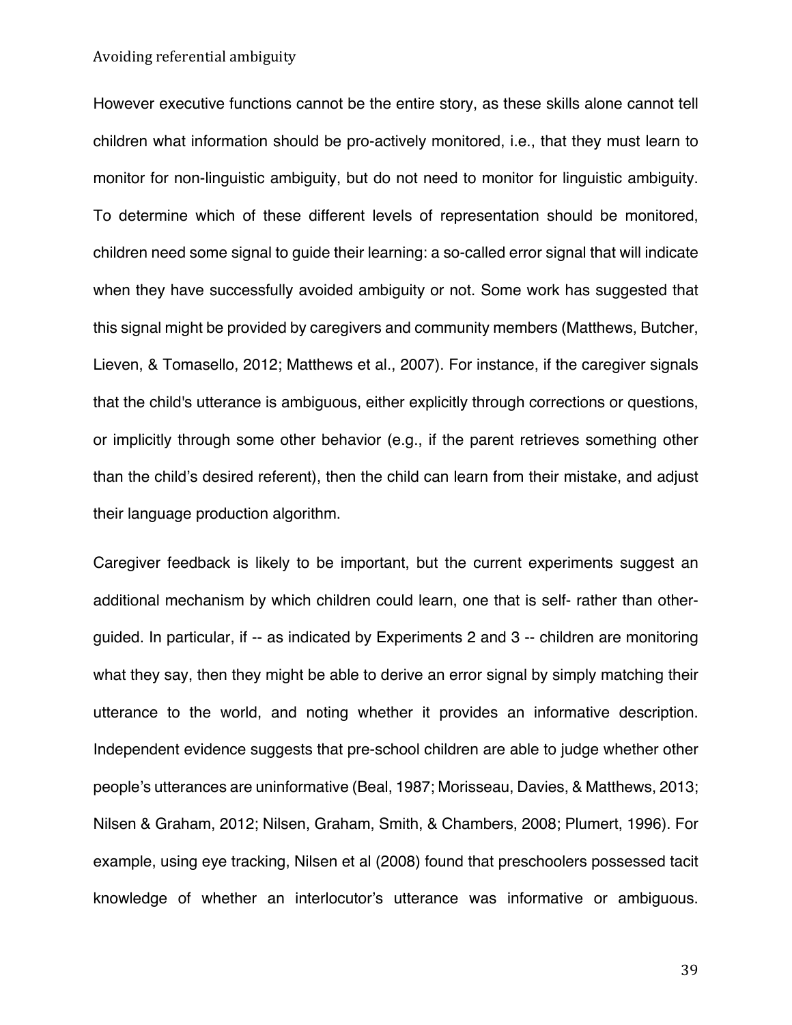However executive functions cannot be the entire story, as these skills alone cannot tell children what information should be pro-actively monitored, i.e., that they must learn to monitor for non-linguistic ambiguity, but do not need to monitor for linguistic ambiguity. To determine which of these different levels of representation should be monitored, children need some signal to guide their learning: a so-called error signal that will indicate when they have successfully avoided ambiguity or not. Some work has suggested that this signal might be provided by caregivers and community members (Matthews, Butcher, Lieven, & Tomasello, 2012; Matthews et al., 2007). For instance, if the caregiver signals that the child's utterance is ambiguous, either explicitly through corrections or questions, or implicitly through some other behavior (e.g., if the parent retrieves something other than the child's desired referent), then the child can learn from their mistake, and adjust their language production algorithm.

Caregiver feedback is likely to be important, but the current experiments suggest an additional mechanism by which children could learn, one that is self- rather than otherguided. In particular, if -- as indicated by Experiments 2 and 3 -- children are monitoring what they say, then they might be able to derive an error signal by simply matching their utterance to the world, and noting whether it provides an informative description. Independent evidence suggests that pre-school children are able to judge whether other people's utterances are uninformative (Beal, 1987; Morisseau, Davies, & Matthews, 2013; Nilsen & Graham, 2012; Nilsen, Graham, Smith, & Chambers, 2008; Plumert, 1996). For example, using eye tracking, Nilsen et al (2008) found that preschoolers possessed tacit knowledge of whether an interlocutor's utterance was informative or ambiguous.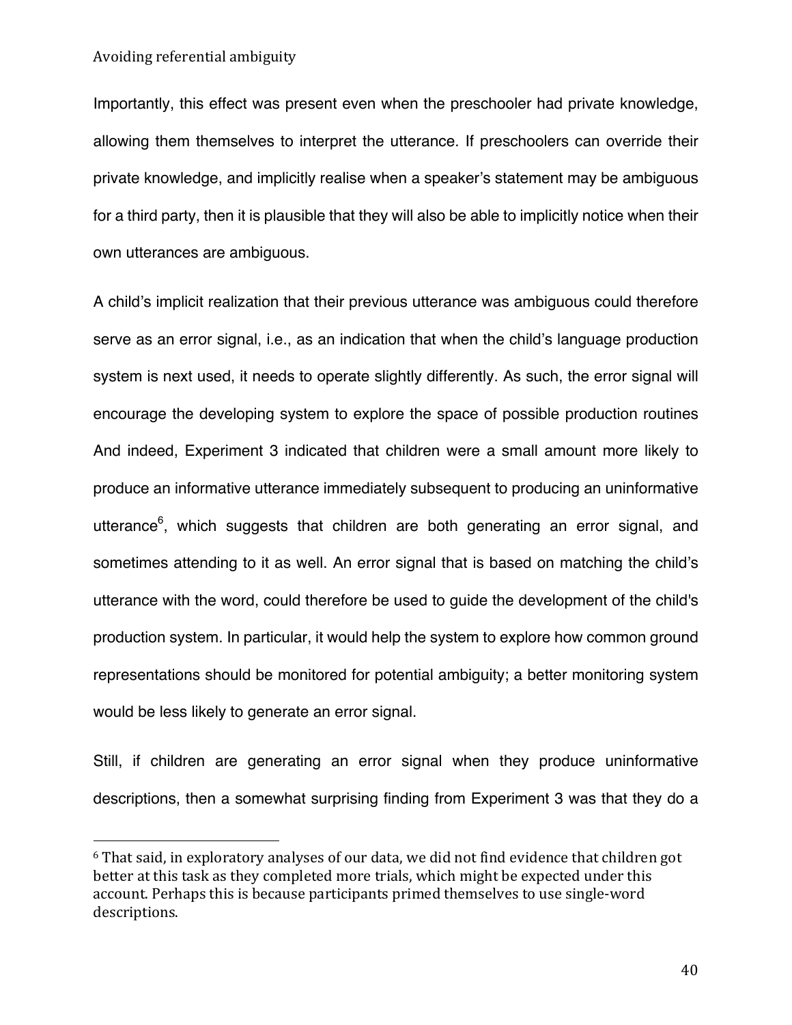Importantly, this effect was present even when the preschooler had private knowledge, allowing them themselves to interpret the utterance. If preschoolers can override their private knowledge, and implicitly realise when a speaker's statement may be ambiguous for a third party, then it is plausible that they will also be able to implicitly notice when their own utterances are ambiguous.

A child's implicit realization that their previous utterance was ambiguous could therefore serve as an error signal, i.e., as an indication that when the child's language production system is next used, it needs to operate slightly differently. As such, the error signal will encourage the developing system to explore the space of possible production routines And indeed, Experiment 3 indicated that children were a small amount more likely to produce an informative utterance immediately subsequent to producing an uninformative utterance<sup>6</sup>, which suggests that children are both generating an error signal, and sometimes attending to it as well. An error signal that is based on matching the child's utterance with the word, could therefore be used to guide the development of the child's production system. In particular, it would help the system to explore how common ground representations should be monitored for potential ambiguity; a better monitoring system would be less likely to generate an error signal.

Still, if children are generating an error signal when they produce uninformative descriptions, then a somewhat surprising finding from Experiment 3 was that they do a

 $6$  That said, in exploratory analyses of our data, we did not find evidence that children got better at this task as they completed more trials, which might be expected under this account. Perhaps this is because participants primed themselves to use single-word descriptions.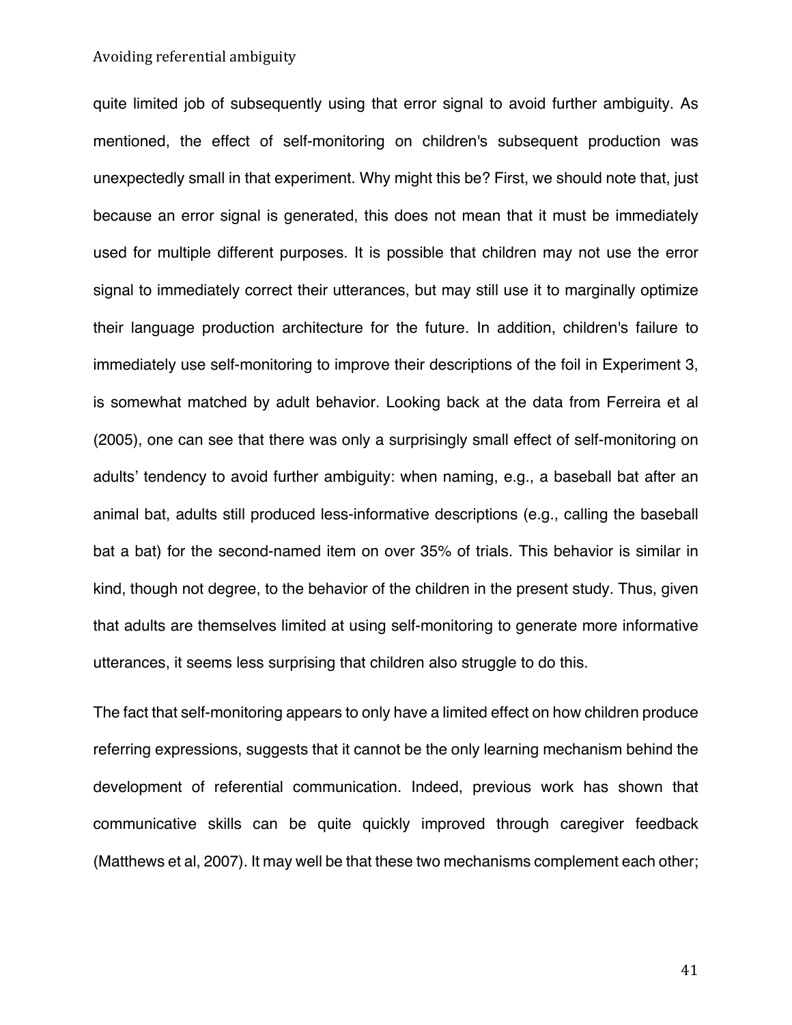quite limited job of subsequently using that error signal to avoid further ambiguity. As mentioned, the effect of self-monitoring on children's subsequent production was unexpectedly small in that experiment. Why might this be? First, we should note that, just because an error signal is generated, this does not mean that it must be immediately used for multiple different purposes. It is possible that children may not use the error signal to immediately correct their utterances, but may still use it to marginally optimize their language production architecture for the future. In addition, children's failure to immediately use self-monitoring to improve their descriptions of the foil in Experiment 3, is somewhat matched by adult behavior. Looking back at the data from Ferreira et al (2005), one can see that there was only a surprisingly small effect of self-monitoring on adults' tendency to avoid further ambiguity: when naming, e.g., a baseball bat after an animal bat, adults still produced less-informative descriptions (e.g., calling the baseball bat a bat) for the second-named item on over 35% of trials. This behavior is similar in kind, though not degree, to the behavior of the children in the present study. Thus, given that adults are themselves limited at using self-monitoring to generate more informative utterances, it seems less surprising that children also struggle to do this.

The fact that self-monitoring appears to only have a limited effect on how children produce referring expressions, suggests that it cannot be the only learning mechanism behind the development of referential communication. Indeed, previous work has shown that communicative skills can be quite quickly improved through caregiver feedback (Matthews et al, 2007). It may well be that these two mechanisms complement each other;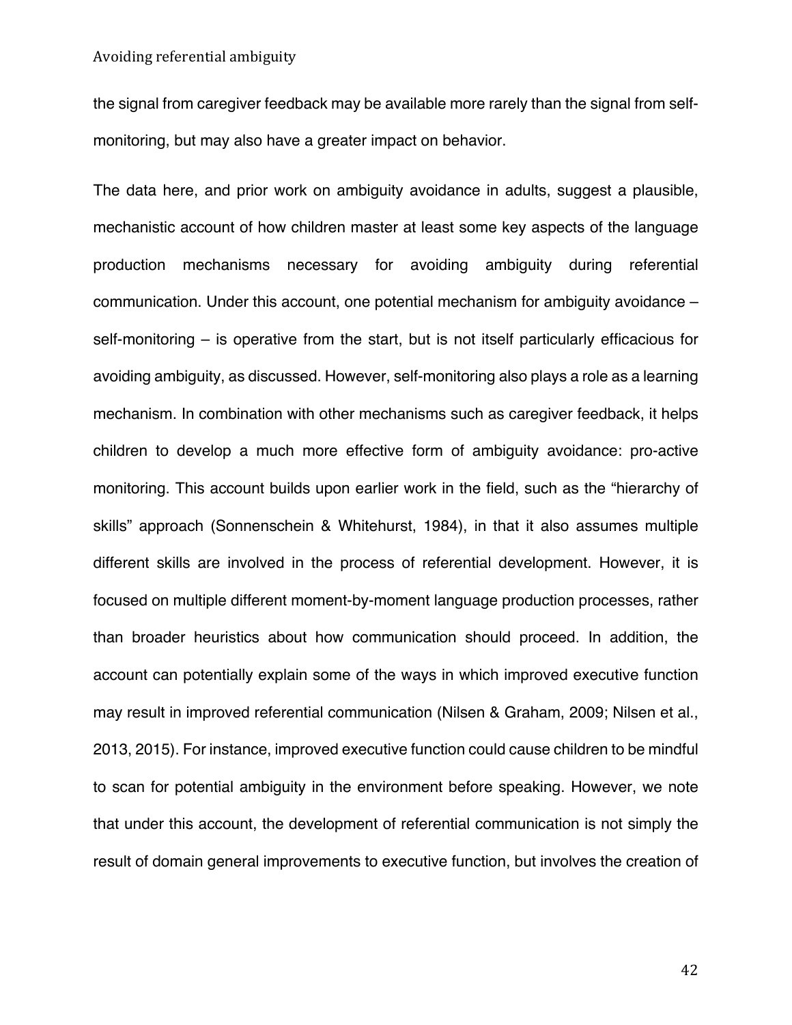the signal from caregiver feedback may be available more rarely than the signal from selfmonitoring, but may also have a greater impact on behavior.

The data here, and prior work on ambiguity avoidance in adults, suggest a plausible, mechanistic account of how children master at least some key aspects of the language production mechanisms necessary for avoiding ambiguity during referential communication. Under this account, one potential mechanism for ambiguity avoidance – self-monitoring – is operative from the start, but is not itself particularly efficacious for avoiding ambiguity, as discussed. However, self-monitoring also plays a role as a learning mechanism. In combination with other mechanisms such as caregiver feedback, it helps children to develop a much more effective form of ambiguity avoidance: pro-active monitoring. This account builds upon earlier work in the field, such as the "hierarchy of skills" approach (Sonnenschein & Whitehurst, 1984), in that it also assumes multiple different skills are involved in the process of referential development. However, it is focused on multiple different moment-by-moment language production processes, rather than broader heuristics about how communication should proceed. In addition, the account can potentially explain some of the ways in which improved executive function may result in improved referential communication (Nilsen & Graham, 2009; Nilsen et al., 2013, 2015). For instance, improved executive function could cause children to be mindful to scan for potential ambiguity in the environment before speaking. However, we note that under this account, the development of referential communication is not simply the result of domain general improvements to executive function, but involves the creation of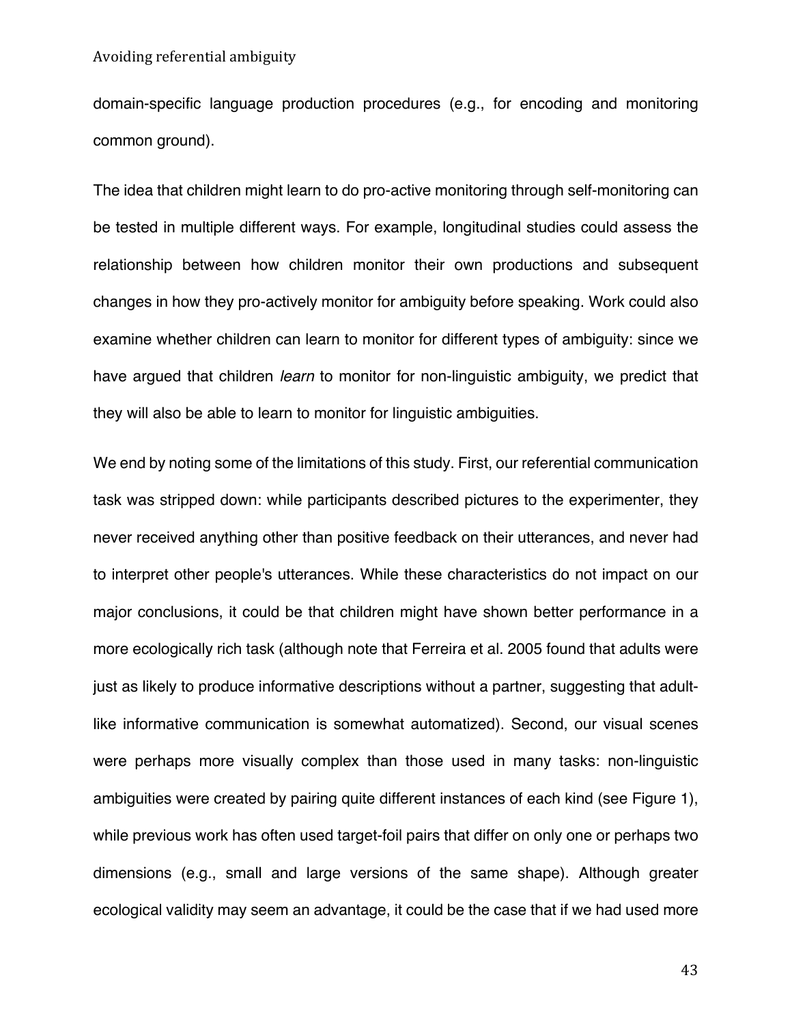domain-specific language production procedures (e.g., for encoding and monitoring common ground).

The idea that children might learn to do pro-active monitoring through self-monitoring can be tested in multiple different ways. For example, longitudinal studies could assess the relationship between how children monitor their own productions and subsequent changes in how they pro-actively monitor for ambiguity before speaking. Work could also examine whether children can learn to monitor for different types of ambiguity: since we have argued that children *learn* to monitor for non-linguistic ambiguity, we predict that they will also be able to learn to monitor for linguistic ambiguities.

We end by noting some of the limitations of this study. First, our referential communication task was stripped down: while participants described pictures to the experimenter, they never received anything other than positive feedback on their utterances, and never had to interpret other people's utterances. While these characteristics do not impact on our major conclusions, it could be that children might have shown better performance in a more ecologically rich task (although note that Ferreira et al. 2005 found that adults were just as likely to produce informative descriptions without a partner, suggesting that adultlike informative communication is somewhat automatized). Second, our visual scenes were perhaps more visually complex than those used in many tasks: non-linguistic ambiguities were created by pairing quite different instances of each kind (see Figure 1), while previous work has often used target-foil pairs that differ on only one or perhaps two dimensions (e.g., small and large versions of the same shape). Although greater ecological validity may seem an advantage, it could be the case that if we had used more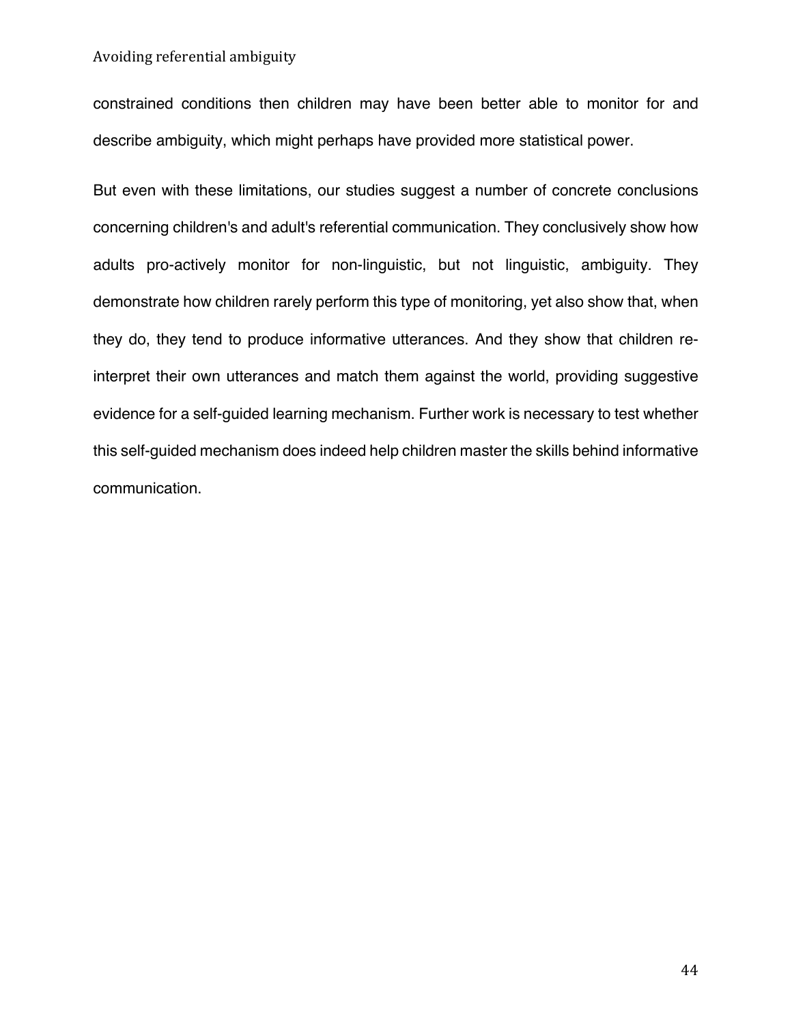constrained conditions then children may have been better able to monitor for and describe ambiguity, which might perhaps have provided more statistical power.

But even with these limitations, our studies suggest a number of concrete conclusions concerning children's and adult's referential communication. They conclusively show how adults pro-actively monitor for non-linguistic, but not linguistic, ambiguity. They demonstrate how children rarely perform this type of monitoring, yet also show that, when they do, they tend to produce informative utterances. And they show that children reinterpret their own utterances and match them against the world, providing suggestive evidence for a self-guided learning mechanism. Further work is necessary to test whether this self-guided mechanism does indeed help children master the skills behind informative communication.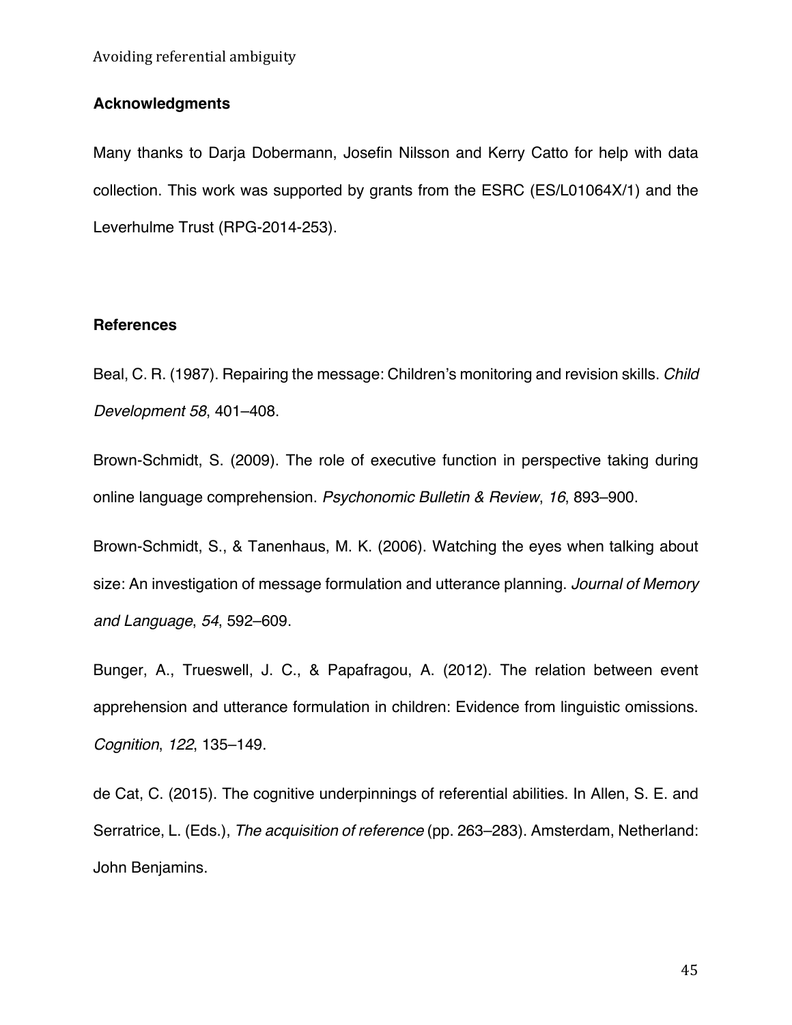## **Acknowledgments**

Many thanks to Darja Dobermann, Josefin Nilsson and Kerry Catto for help with data collection. This work was supported by grants from the ESRC (ES/L01064X/1) and the Leverhulme Trust (RPG-2014-253).

## **References**

Beal, C. R. (1987). Repairing the message: Children's monitoring and revision skills. *Child Development 58*, 401–408.

Brown-Schmidt, S. (2009). The role of executive function in perspective taking during online language comprehension. *Psychonomic Bulletin & Review*, *16*, 893–900.

Brown-Schmidt, S., & Tanenhaus, M. K. (2006). Watching the eyes when talking about size: An investigation of message formulation and utterance planning. *Journal of Memory and Language*, *54*, 592–609.

Bunger, A., Trueswell, J. C., & Papafragou, A. (2012). The relation between event apprehension and utterance formulation in children: Evidence from linguistic omissions. *Cognition*, *122*, 135–149.

de Cat, C. (2015). The cognitive underpinnings of referential abilities. In Allen, S. E. and Serratrice, L. (Eds.), *The acquisition of reference* (pp. 263–283). Amsterdam, Netherland: John Benjamins.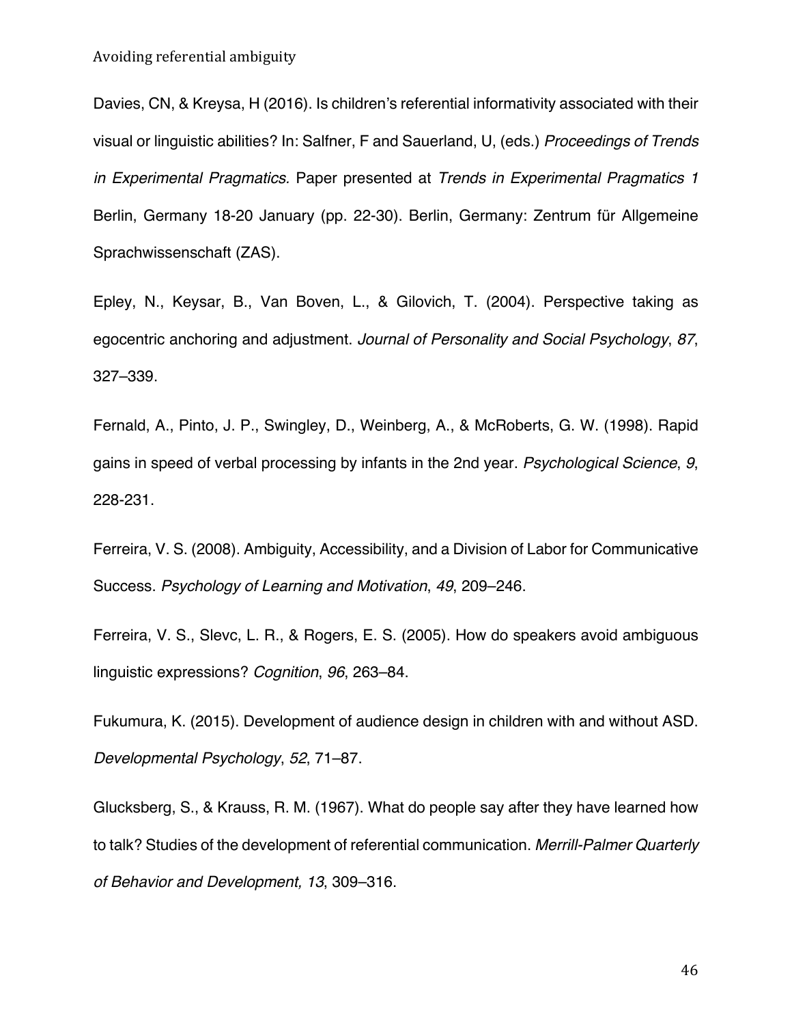Davies, CN, & Kreysa, H (2016). Is children's referential informativity associated with their visual or linguistic abilities? In: Salfner, F and Sauerland, U, (eds.) *Proceedings of Trends in Experimental Pragmatics.* Paper presented at *Trends in Experimental Pragmatics 1* Berlin, Germany 18-20 January (pp. 22-30). Berlin, Germany: Zentrum für Allgemeine Sprachwissenschaft (ZAS).

Epley, N., Keysar, B., Van Boven, L., & Gilovich, T. (2004). Perspective taking as egocentric anchoring and adjustment. *Journal of Personality and Social Psychology*, *87*, 327–339.

Fernald, A., Pinto, J. P., Swingley, D., Weinberg, A., & McRoberts, G. W. (1998). Rapid gains in speed of verbal processing by infants in the 2nd year. *Psychological Science*, *9*, 228-231.

Ferreira, V. S. (2008). Ambiguity, Accessibility, and a Division of Labor for Communicative Success. *Psychology of Learning and Motivation*, *49*, 209–246.

Ferreira, V. S., Slevc, L. R., & Rogers, E. S. (2005). How do speakers avoid ambiguous linguistic expressions? *Cognition*, *96*, 263–84.

Fukumura, K. (2015). Development of audience design in children with and without ASD. *Developmental Psychology*, *52*, 71–87.

Glucksberg, S., & Krauss, R. M. (1967). What do people say after they have learned how to talk? Studies of the development of referential communication. *Merrill-Palmer Quarterly of Behavior and Development, 13*, 309–316.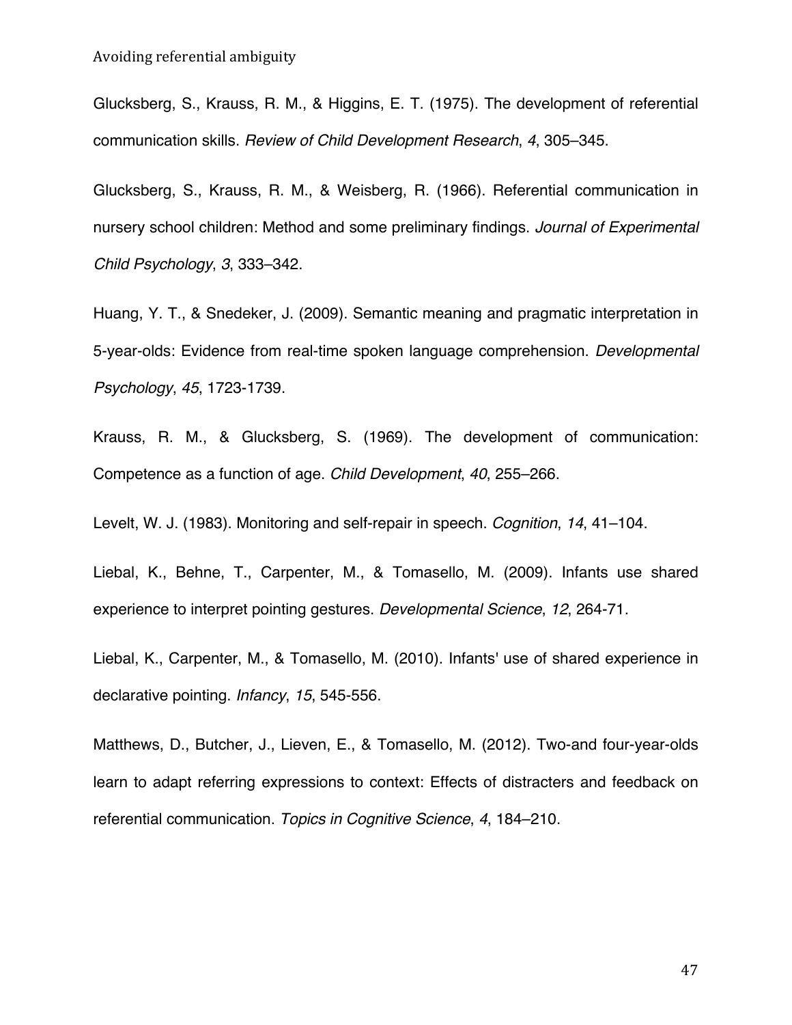Glucksberg, S., Krauss, R. M., & Higgins, E. T. (1975). The development of referential communication skills. *Review of Child Development Research*, *4*, 305–345.

Glucksberg, S., Krauss, R. M., & Weisberg, R. (1966). Referential communication in nursery school children: Method and some preliminary findings. *Journal of Experimental Child Psychology*, *3*, 333–342.

Huang, Y. T., & Snedeker, J. (2009). Semantic meaning and pragmatic interpretation in 5-year-olds: Evidence from real-time spoken language comprehension. *Developmental Psychology*, *45*, 1723-1739.

Krauss, R. M., & Glucksberg, S. (1969). The development of communication: Competence as a function of age. *Child Development*, *40*, 255–266.

Levelt, W. J. (1983). Monitoring and self-repair in speech. *Cognition*, *14*, 41–104.

Liebal, K., Behne, T., Carpenter, M., & Tomasello, M. (2009). Infants use shared experience to interpret pointing gestures. *Developmental Science*, *12*, 264-71.

Liebal, K., Carpenter, M., & Tomasello, M. (2010). Infants' use of shared experience in declarative pointing. *Infancy*, *15*, 545-556.

Matthews, D., Butcher, J., Lieven, E., & Tomasello, M. (2012). Two-and four-year-olds learn to adapt referring expressions to context: Effects of distracters and feedback on referential communication. *Topics in Cognitive Science*, *4*, 184–210.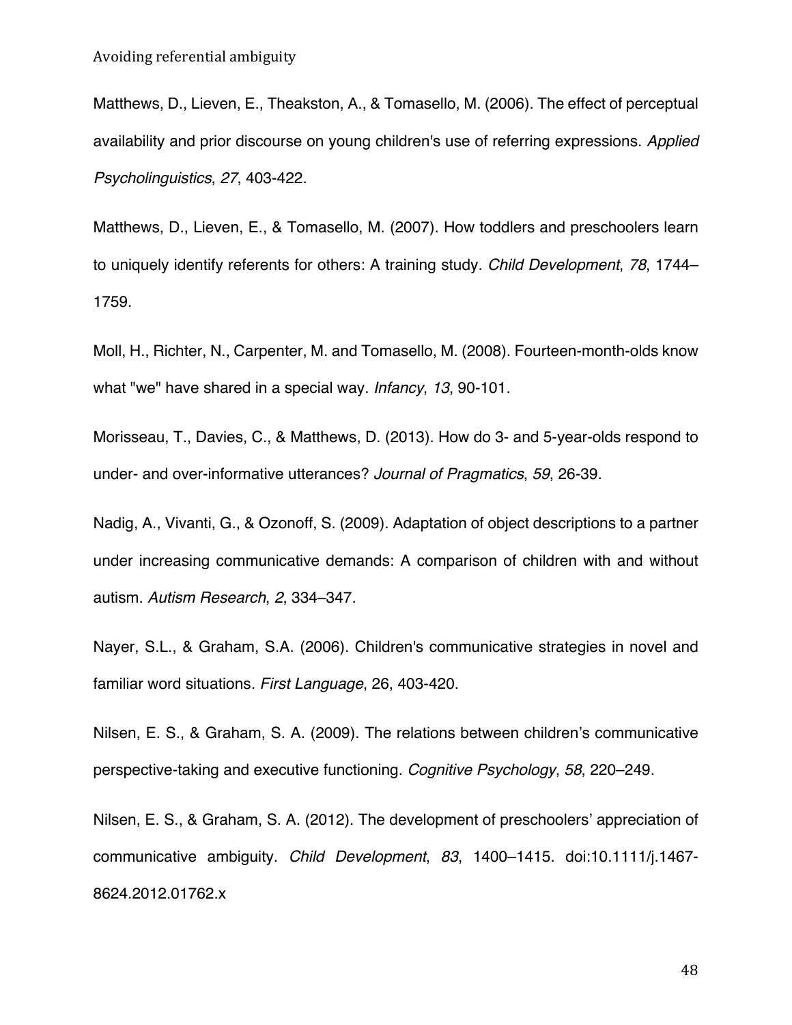Matthews, D., Lieven, E., Theakston, A., & Tomasello, M. (2006). The effect of perceptual availability and prior discourse on young children's use of referring expressions. *Applied Psycholinguistics*, *27*, 403-422.

Matthews, D., Lieven, E., & Tomasello, M. (2007). How toddlers and preschoolers learn to uniquely identify referents for others: A training study. *Child Development*, *78*, 1744– 1759.

Moll, H., Richter, N., Carpenter, M. and Tomasello, M. (2008). Fourteen-month-olds know what "we" have shared in a special way. *Infancy*, *13*, 90-101.

Morisseau, T., Davies, C., & Matthews, D. (2013). How do 3- and 5-year-olds respond to under- and over-informative utterances? *Journal of Pragmatics*, *59*, 26-39.

Nadig, A., Vivanti, G., & Ozonoff, S. (2009). Adaptation of object descriptions to a partner under increasing communicative demands: A comparison of children with and without autism. *Autism Research*, *2*, 334–347.

Nayer, S.L., & Graham, S.A. (2006). Children's communicative strategies in novel and familiar word situations*. First Language*, 26, 403-420.

Nilsen, E. S., & Graham, S. A. (2009). The relations between children's communicative perspective-taking and executive functioning. *Cognitive Psychology*, *58*, 220–249.

Nilsen, E. S., & Graham, S. A. (2012). The development of preschoolers' appreciation of communicative ambiguity. *Child Development*, *83*, 1400–1415. doi:10.1111/j.1467- 8624.2012.01762.x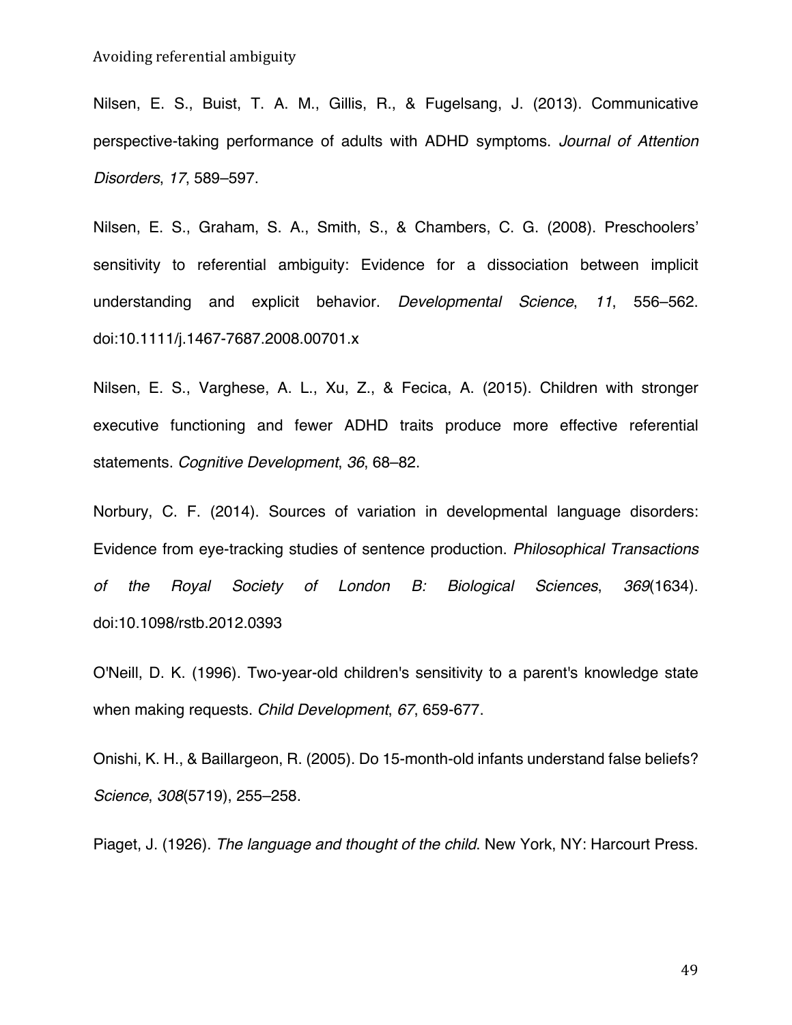Nilsen, E. S., Buist, T. A. M., Gillis, R., & Fugelsang, J. (2013). Communicative perspective-taking performance of adults with ADHD symptoms. *Journal of Attention Disorders*, *17*, 589–597.

Nilsen, E. S., Graham, S. A., Smith, S., & Chambers, C. G. (2008). Preschoolers' sensitivity to referential ambiguity: Evidence for a dissociation between implicit understanding and explicit behavior. *Developmental Science*, *11*, 556–562. doi:10.1111/j.1467-7687.2008.00701.x

Nilsen, E. S., Varghese, A. L., Xu, Z., & Fecica, A. (2015). Children with stronger executive functioning and fewer ADHD traits produce more effective referential statements. *Cognitive Development*, *36*, 68–82.

Norbury, C. F. (2014). Sources of variation in developmental language disorders: Evidence from eye-tracking studies of sentence production. *Philosophical Transactions of the Royal Society of London B: Biological Sciences*, *369*(1634). doi:10.1098/rstb.2012.0393

O'Neill, D. K. (1996). Two-year-old children's sensitivity to a parent's knowledge state when making requests. *Child Development*, *67*, 659-677.

Onishi, K. H., & Baillargeon, R. (2005). Do 15-month-old infants understand false beliefs? *Science*, *308*(5719), 255–258.

Piaget, J. (1926). *The language and thought of the child*. New York, NY: Harcourt Press.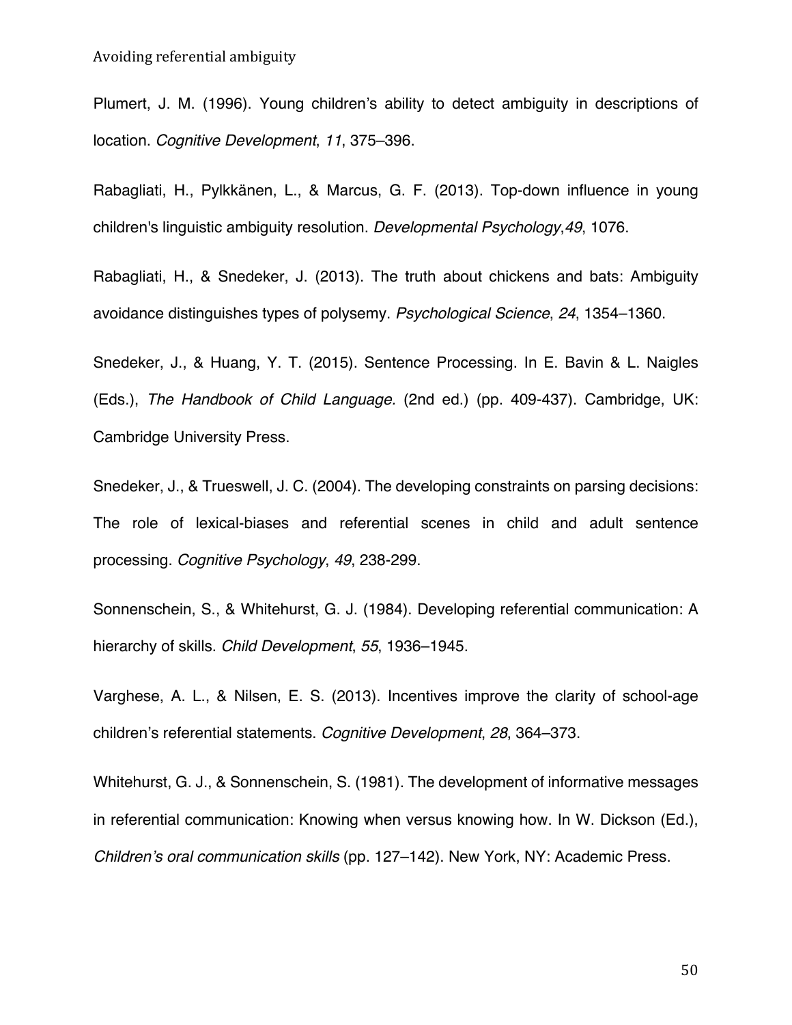Plumert, J. M. (1996). Young children's ability to detect ambiguity in descriptions of location. *Cognitive Development*, *11*, 375–396.

Rabagliati, H., Pylkkänen, L., & Marcus, G. F. (2013). Top-down influence in young children's linguistic ambiguity resolution. *Developmental Psychology*,*49*, 1076.

Rabagliati, H., & Snedeker, J. (2013). The truth about chickens and bats: Ambiguity avoidance distinguishes types of polysemy. *Psychological Science*, *24*, 1354–1360.

Snedeker, J., & Huang, Y. T. (2015). Sentence Processing. In E. Bavin & L. Naigles (Eds.), *The Handbook of Child Language.* (2nd ed.) (pp. 409-437). Cambridge, UK: Cambridge University Press.

Snedeker, J., & Trueswell, J. C. (2004). The developing constraints on parsing decisions: The role of lexical-biases and referential scenes in child and adult sentence processing. *Cognitive Psychology*, *49*, 238-299.

Sonnenschein, S., & Whitehurst, G. J. (1984). Developing referential communication: A hierarchy of skills. *Child Development*, *55*, 1936–1945.

Varghese, A. L., & Nilsen, E. S. (2013). Incentives improve the clarity of school-age children's referential statements. *Cognitive Development*, *28*, 364–373.

Whitehurst, G. J., & Sonnenschein, S. (1981). The development of informative messages in referential communication: Knowing when versus knowing how. In W. Dickson (Ed.), *Children's oral communication skills* (pp. 127–142). New York, NY: Academic Press.